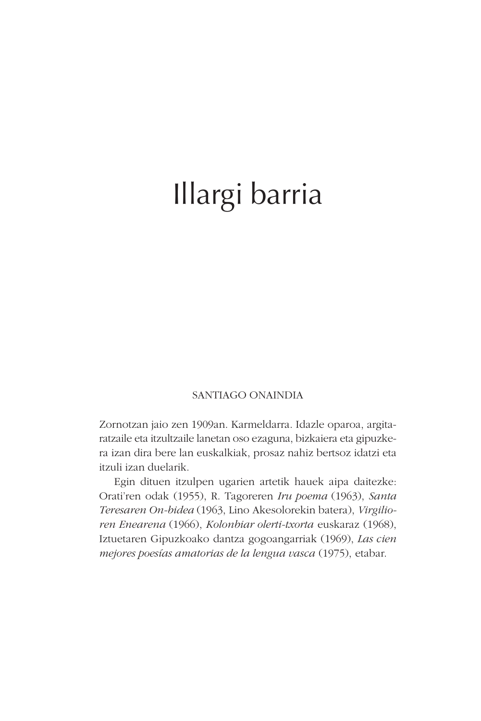# Illargi barria

#### SANTIAGO ONAINDIA

Zornotzan jaio zen 1909an. Karmeldarra. Idazle oparoa, argitaratzaile eta itzultzaile lanetan oso ezaguna, bizkaiera eta gipuzkera izan dira bere lan euskalkiak, prosaz nahiz bertsoz idatzi eta itzuli izan duelarik.

Egin dituen itzulpen ugarien artetik hauek aipa daitezke: Orati'ren odak (1955), R. Tagoreren *Iru poema* (1963), *Santa Teresaren On-bidea* (1963, Lino Akesolorekin batera), *Virgilioren Enearena* (1966), *Kolonbiar olerti-txorta* euskaraz (1968), Iztuetaren Gipuzkoako dantza gogoangarriak (1969), *Las cien mejores poesías amatorias de la lengua vasca* (1975), etabar.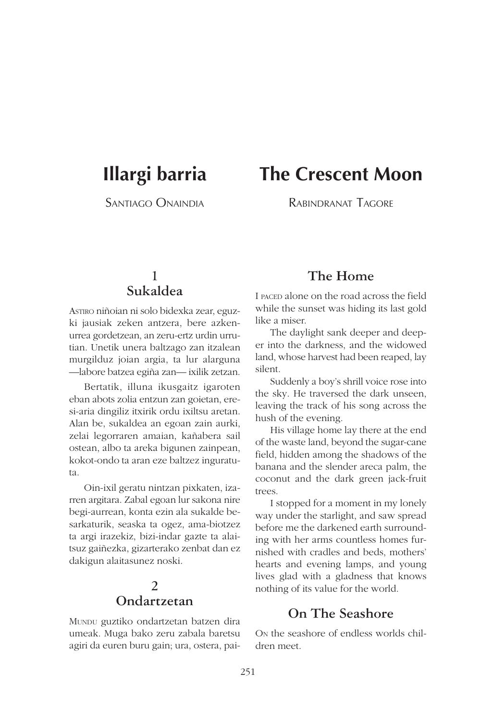# **Illargi barria**

SANTIAGO ONAINDIA

# **The Crescent Moon**

RABINDRANAT TAGORE

#### **1 Sukaldea**

ASTIRO niñoian ni solo bidexka zear, eguzki jausiak zeken antzera, bere azkenurrea gordetzean, an zeru-ertz urdin urrutian. Unetik unera baltzago zan itzalean murgilduz joian argia, ta lur alarguna —labore batzea egiña zan— ixilik zetzan.

Bertatik, illuna ikusgaitz igaroten eban abots zolia entzun zan goietan, eresi-aria dingiliz itxirik ordu ixiltsu aretan. Alan be, sukaldea an egoan zain aurki, zelai legorraren amaian, kañabera sail ostean, albo ta areka bigunen zainpean, kokot-ondo ta aran eze baltzez inguratuta.

Oin-ixil geratu nintzan pixkaten, izarren argitara. Zabal egoan lur sakona nire begi-aurrean, konta ezin ala sukalde besarkaturik, seaska ta ogez, ama-biotzez ta argi irazekiz, bizi-indar gazte ta alaitsuz gaiñezka, gizarterako zenbat dan ez dakigun alaitasunez noski.

#### **2 Ondartzetan**

MUNDU guztiko ondartzetan batzen dira umeak. Muga bako zeru zabala baretsu agiri da euren buru gain; ura, ostera, pai-

#### **The Home**

I PACED alone on the road across the field while the sunset was hiding its last gold like a miser.

The daylight sank deeper and deeper into the darkness, and the widowed land, whose harvest had been reaped, lay silent.

Suddenly a boy's shrill voice rose into the sky. He traversed the dark unseen, leaving the track of his song across the hush of the evening.

His village home lay there at the end of the waste land, beyond the sugar-cane field, hidden among the shadows of the banana and the slender areca palm, the coconut and the dark green jack-fruit trees.

I stopped for a moment in my lonely way under the starlight, and saw spread before me the darkened earth surrounding with her arms countless homes furnished with cradles and beds, mothers' hearts and evening lamps, and young lives glad with a gladness that knows nothing of its value for the world.

#### **On The Seashore**

ON the seashore of endless worlds children meet.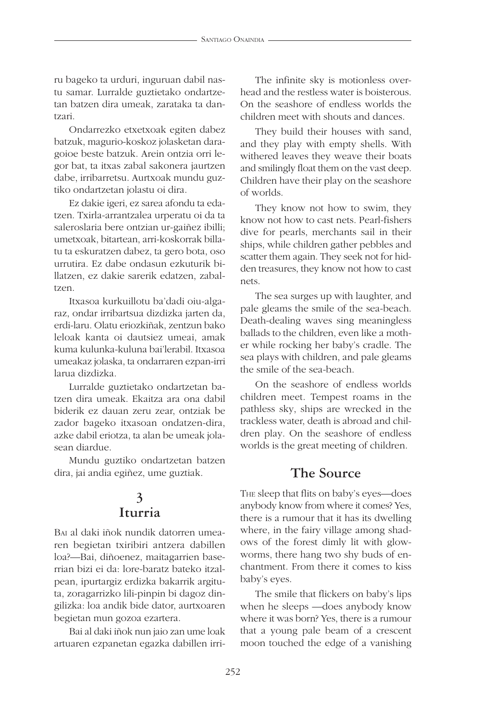ru bageko ta urduri, inguruan dabil nastu samar. Lurralde guztietako ondartzetan batzen dira umeak, zarataka ta dantzari.

Ondarrezko etxetxoak egiten dabez batzuk, magurio-koskoz jolasketan daragoioe beste batzuk. Arein ontzia orri legor bat, ta itxas zabal sakonera jaurtzen dabe, irribarretsu. Aurtxoak mundu guztiko ondartzetan jolastu oi dira.

Ez dakie igeri, ez sarea afondu ta edatzen. Txirla-arrantzalea urperatu oi da ta saleroslaria bere ontzian ur-gaiñez ibilli; umetxoak, bitartean, arri-koskorrak billatu ta eskuratzen dabez, ta gero bota, oso urrutira. Ez dabe ondasun ezkuturik billatzen, ez dakie sarerik edatzen, zabaltzen.

Itxasoa kurkuillotu ba'dadi oiu-algaraz, ondar irribartsua dizdizka jarten da, erdi-laru. Olatu eriozkiñak, zentzun bako leloak kanta oi dautsiez umeai, amak kuma kulunka-kuluna bai'lerabil. Itxasoa umeakaz jolaska, ta ondarraren ezpan-irri larua dizdizka.

Lurralde guztietako ondartzetan batzen dira umeak. Ekaitza ara ona dabil biderik ez dauan zeru zear, ontziak be zador bageko itxasoan ondatzen-dira, azke dabil eriotza, ta alan be umeak jolasean diardue.

Mundu guztiko ondartzetan batzen dira, jai andia egiñez, ume guztiak.

#### **3 Iturria**

BAI al daki iñok nundik datorren umearen begietan txiribiri antzera dabillen loa?—Bai, diñoenez, maitagarrien baserrian bizi ei da: lore-baratz bateko itzalpean, ipurtargiz erdizka bakarrik argituta, zoragarrizko lili-pinpin bi dagoz dingilizka: loa andik bide dator, aurtxoaren begietan mun gozoa ezartera.

Bai al daki iñok nun jaio zan ume loak artuaren ezpanetan egazka dabillen irri-

The infinite sky is motionless overhead and the restless water is boisterous. On the seashore of endless worlds the children meet with shouts and dances.

They build their houses with sand, and they play with empty shells. With withered leaves they weave their boats and smilingly float them on the vast deep. Children have their play on the seashore of worlds.

They know not how to swim, they know not how to cast nets. Pearl-fishers dive for pearls, merchants sail in their ships, while children gather pebbles and scatter them again. They seek not for hidden treasures, they know not how to cast nets.

The sea surges up with laughter, and pale gleams the smile of the sea-beach. Death-dealing waves sing meaningless ballads to the children, even like a mother while rocking her baby's cradle. The sea plays with children, and pale gleams the smile of the sea-beach.

On the seashore of endless worlds children meet. Tempest roams in the pathless sky, ships are wrecked in the trackless water, death is abroad and children play. On the seashore of endless worlds is the great meeting of children.

#### **The Source**

THE sleep that flits on baby's eyes—does anybody know from where it comes? Yes, there is a rumour that it has its dwelling where, in the fairy village among shadows of the forest dimly lit with glowworms, there hang two shy buds of enchantment. From there it comes to kiss baby's eyes.

The smile that flickers on baby's lips when he sleeps —does anybody know where it was born? Yes, there is a rumour that a young pale beam of a crescent moon touched the edge of a vanishing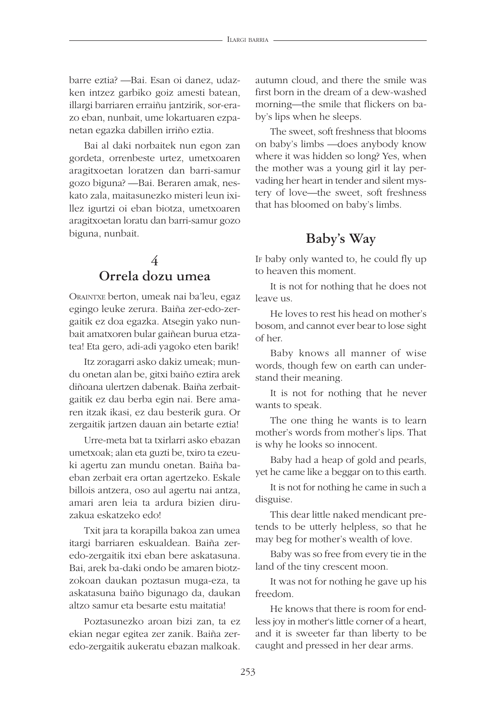barre eztia? —Bai. Esan oi danez, udazken intzez garbiko goiz amesti batean, illargi barriaren erraiñu jantzirik, sor-erazo eban, nunbait, ume lokartuaren ezpanetan egazka dabillen irriño eztia.

Bai al daki norbaitek nun egon zan gordeta, orrenbeste urtez, umetxoaren aragitxoetan loratzen dan barri-samur gozo biguna? —Bai. Beraren amak, neskato zala, maitasunezko misteri leun ixillez igurtzi oi eban biotza, umetxoaren aragitxoetan loratu dan barri-samur gozo biguna, nunbait.

#### **4 Orrela dozu umea**

ORAINTXE berton, umeak nai ba'leu, egaz egingo leuke zerura. Baiña zer-edo-zergaitik ez doa egazka. Atsegin yako nunbait amatxoren bular gaiñean burua etzatea! Eta gero, adi-adi yagoko eten barik!

Itz zoragarri asko dakiz umeak; mundu onetan alan be, gitxi baiño eztira arek diñoana ulertzen dabenak. Baiña zerbaitgaitik ez dau berba egin nai. Bere amaren itzak ikasi, ez dau besterik gura. Or zergaitik jartzen dauan ain betarte eztia!

Urre-meta bat ta txirlarri asko ebazan umetxoak; alan eta guzti be, txiro ta ezeuki agertu zan mundu onetan. Baiña baeban zerbait era ortan agertzeko. Eskale billois antzera, oso aul agertu nai antza, amari aren leia ta ardura bizien diruzakua eskatzeko edo!

Txit jara ta korapilla bakoa zan umea itargi barriaren eskualdean. Baiña zeredo-zergaitik itxi eban bere askatasuna. Bai, arek ba-daki ondo be amaren biotzzokoan daukan poztasun muga-eza, ta askatasuna baiño bigunago da, daukan altzo samur eta besarte estu maitatia!

Poztasunezko aroan bizi zan, ta ez ekian negar egitea zer zanik. Baiña zeredo-zergaitik aukeratu ebazan malkoak. autumn cloud, and there the smile was first born in the dream of a dew-washed morning—the smile that flickers on baby's lips when he sleeps.

The sweet, soft freshness that blooms on baby's limbs —does anybody know where it was hidden so long? Yes, when the mother was a young girl it lay pervading her heart in tender and silent mystery of love—the sweet, soft freshness that has bloomed on baby's limbs.

#### **Baby's Way**

IF baby only wanted to, he could fly up to heaven this moment.

It is not for nothing that he does not leave us.

He loves to rest his head on mother's bosom, and cannot ever bear to lose sight of her.

Baby knows all manner of wise words, though few on earth can understand their meaning.

It is not for nothing that he never wants to speak.

The one thing he wants is to learn mother's words from mother's lips. That is why he looks so innocent.

Baby had a heap of gold and pearls, yet he came like a beggar on to this earth.

It is not for nothing he came in such a disguise.

This dear little naked mendicant pretends to be utterly helpless, so that he may beg for mother's wealth of love.

Baby was so free from every tie in the land of the tiny crescent moon.

It was not for nothing he gave up his freedom.

He knows that there is room for endless joy in mother's little corner of a heart, and it is sweeter far than liberty to be caught and pressed in her dear arms.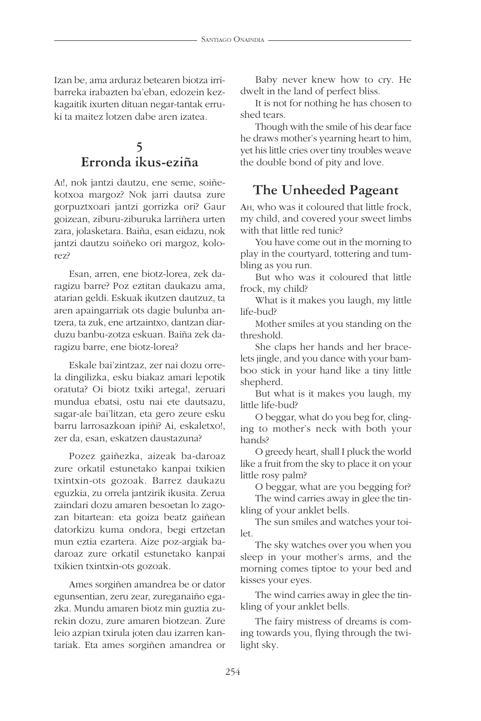Izan be, ama arduraz betearen biotza irribarreka irabazten ba'eban, edozein kezkagaitik ixurten dituan negar-tantak erruki ta maitez lotzen dabe aren izatea.

# **5 Erronda ikus-eziña**

AI!, nok jantzi dautzu, ene seme, soiñekotxoa margoz? Nok jarri dautsa zure gorpuztxoari jantzi gorrizka ori? Gaur goizean, ziburu-ziburuka larriñera urten zara, jolasketara. Baiña, esan eidazu, nok jantzi dautzu soiñeko ori margoz, kolorez?

Esan, arren, ene biotz-lorea, zek daragizu barre? Poz eztitan daukazu ama, atarian geldi. Eskuak ikutzen dautzuz, ta aren apaingarriak ots dagie bulunba antzera, ta zuk, ene artzaintxo, dantzan diarduzu banbu-zotza eskuan. Baiña zek daragizu barre, ene biotz-lorea?

Eskale bai'zintzaz, zer nai dozu orrela dingilizka, esku biakaz amari lepotik oratuta? Oi biotz txiki artega!, zeruari mundua ebatsi, ostu nai ete dautsazu, sagar-ale bai'litzan, eta gero zeure esku barru larrosazkoan ipiñi? Ai, eskaletxo!, zer da, esan, eskatzen daustazuna?

Pozez gaiñezka, aizeak ba-daroaz zure orkatil estunetako kanpai txikien txintxin-ots gozoak. Barrez daukazu eguzkia, zu orrela jantzirik ikusita. Zerua zaindari dozu amaren besoetan lo zagozan bitartean: eta goiza beatz gaiñean datorkizu kuma ondora, begi ertzetan mun eztia ezartera. Aize poz-argiak badaroaz zure orkatil estunetako kanpai txikien txintxin-ots gozoak.

Ames sorgiñen amandrea be or dator egunsentian, zeru zear, zureganaiño egazka. Mundu amaren biotz min guztia zurekin dozu, zure amaren biotzean. Zure leio azpian txirula joten dau izarren kantariak. Eta ames sorgiñen amandrea or

Baby never knew how to cry. He dwelt in the land of perfect bliss.

It is not for nothing he has chosen to shed tears.

Though with the smile of his dear face he draws mother's yearning heart to him, yet his little cries over tiny troubles weave the double bond of pity and love.

# **The Unheeded Pageant**

AH, who was it coloured that little frock, my child, and covered your sweet limbs with that little red tunic?

You have come out in the morning to play in the courtyard, tottering and tumbling as you run.

But who was it coloured that little frock, my child?

What is it makes you laugh, my little life-bud?

Mother smiles at you standing on the threshold.

She claps her hands and her bracelets jingle, and you dance with your bamboo stick in your hand like a tiny little shepherd.

But what is it makes you laugh, my little life-bud?

O beggar, what do you beg for, clinging to mother's neck with both your hands?

O greedy heart, shall I pluck the world like a fruit from the sky to place it on your little rosy palm?

O beggar, what are you begging for?

The wind carries away in glee the tinkling of your anklet bells.

The sun smiles and watches your toilet.

The sky watches over you when you sleep in your mother's arms, and the morning comes tiptoe to your bed and kisses your eyes.

The wind carries away in glee the tinkling of your anklet bells.

The fairy mistress of dreams is coming towards you, flying through the twilight sky.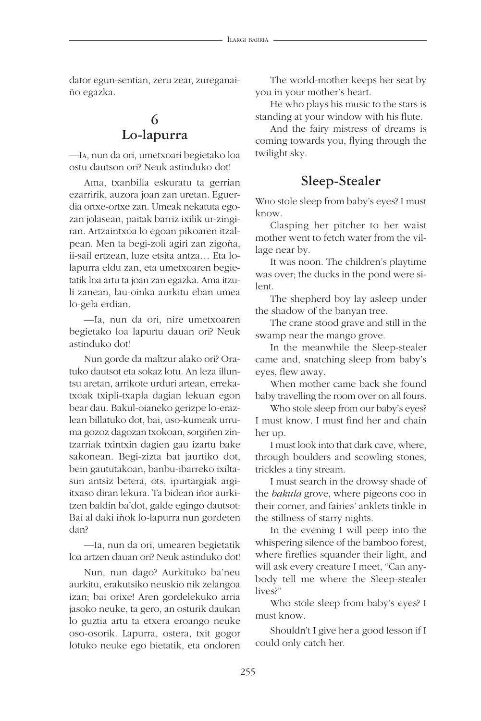dator egun-sentian, zeru zear, zureganaiño egazka.

## **6 Lo-lapurra**

—IA, nun da ori, umetxoari begietako loa ostu dautson ori? Neuk astinduko dot!

Ama, txanbilla eskuratu ta gerrian ezarririk, auzora joan zan uretan. Eguerdia ortxe-ortxe zan. Umeak nekatuta egozan jolasean, paitak barriz ixilik ur-zingiran. Artzaintxoa lo egoan pikoaren itzalpean. Men ta begi-zoli agiri zan zigoña, ii-sail ertzean, luze etsita antza… Eta lolapurra eldu zan, eta umetxoaren begietatik loa artu ta joan zan egazka. Ama itzuli zanean, lau-oinka aurkitu eban umea lo-gela erdian.

—Ia, nun da ori, nire umetxoaren begietako loa lapurtu dauan ori? Neuk astinduko dot!

Nun gorde da maltzur alako ori? Oratuko dautsot eta sokaz lotu. An leza illuntsu aretan, arrikote urduri artean, errekatxoak txipli-txapla dagian lekuan egon bear dau. Bakul-oianeko gerizpe lo-erazlean billatuko dot, bai, uso-kumeak urruma gozoz dagozan txokoan, sorgiñen zintzarriak txintxin dagien gau izartu bake sakonean. Begi-zizta bat jaurtiko dot, bein gaututakoan, banbu-ibarreko ixiltasun antsiz betera, ots, ipurtargiak argiitxaso diran lekura. Ta bidean iñor aurkitzen baldin ba'dot, galde egingo dautsot: Bai al daki iñok lo-lapurra nun gordeten dan?

—Ia, nun da ori, umearen begietatik loa artzen dauan ori? Neuk astinduko dot!

Nun, nun dago? Aurkituko ba'neu aurkitu, erakutsiko neuskio nik zelangoa izan; bai orixe! Aren gordelekuko arria jasoko neuke, ta gero, an osturik daukan lo guztia artu ta etxera eroango neuke oso-osorik. Lapurra, ostera, txit gogor lotuko neuke ego bietatik, eta ondoren

The world-mother keeps her seat by you in your mother's heart.

He who plays his music to the stars is standing at your window with his flute.

And the fairy mistress of dreams is coming towards you, flying through the twilight sky.

#### **Sleep-Stealer**

WHO stole sleep from baby's eyes? I must know.

Clasping her pitcher to her waist mother went to fetch water from the village near by.

It was noon. The children's playtime was over; the ducks in the pond were silent.

The shepherd boy lay asleep under the shadow of the banyan tree.

The crane stood grave and still in the swamp near the mango grove.

In the meanwhile the Sleep-stealer came and, snatching sleep from baby's eyes, flew away.

When mother came back she found baby travelling the room over on all fours.

Who stole sleep from our baby's eyes? I must know. I must find her and chain her up.

I must look into that dark cave, where, through boulders and scowling stones, trickles a tiny stream.

I must search in the drowsy shade of the *bakula* grove, where pigeons coo in their corner, and fairies' anklets tinkle in the stillness of starry nights.

In the evening I will peep into the whispering silence of the bamboo forest, where fireflies squander their light, and will ask every creature I meet, "Can anybody tell me where the Sleep-stealer lives?"

Who stole sleep from baby's eyes? I must know.

Shouldn't I give her a good lesson if I could only catch her.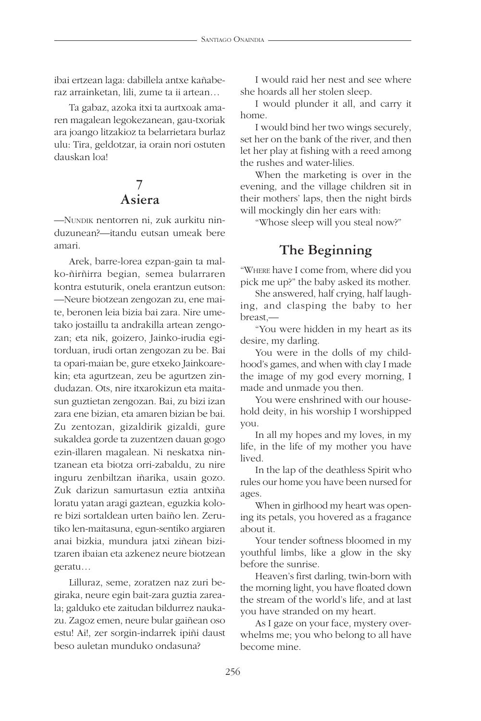ibai ertzean laga: dabillela antxe kañaberaz arrainketan, lili, zume ta ii artean…

Ta gabaz, azoka itxi ta aurtxoak amaren magalean legokezanean, gau-txoriak ara joango litzakioz ta belarrietara burlaz ulu: Tira, geldotzar, ia orain nori ostuten dauskan loa!

## **7 Asiera**

—NUNDIK nentorren ni, zuk aurkitu ninduzunean?—itandu eutsan umeak bere amari.

Arek, barre-lorea ezpan-gain ta malko-ñirñirra begian, semea bularraren kontra estuturik, onela erantzun eutson: —Neure biotzean zengozan zu, ene maite, beronen leia bizia bai zara. Nire umetako jostaillu ta andrakilla artean zengozan; eta nik, goizero, Jainko-irudia egitorduan, irudi ortan zengozan zu be. Bai ta opari-maian be, gure etxeko Jainkoarekin; eta agurtzean, zeu be agurtzen zindudazan. Ots, nire itxarokizun eta maitasun guztietan zengozan. Bai, zu bizi izan zara ene bizian, eta amaren bizian be bai. Zu zentozan, gizaldirik gizaldi, gure sukaldea gorde ta zuzentzen dauan gogo ezin-illaren magalean. Ni neskatxa nintzanean eta biotza orri-zabaldu, zu nire inguru zenbiltzan iñarika, usain gozo. Zuk darizun samurtasun eztia antxiña loratu yatan aragi gaztean, eguzkia kolore bizi sortaldean urten baiño len. Zerutiko len-maitasuna, egun-sentiko argiaren anai bizkia, mundura jatxi ziñean bizitzaren ibaian eta azkenez neure biotzean geratu…

Lilluraz, seme, zoratzen naz zuri begiraka, neure egin bait-zara guztia zareala; galduko ete zaitudan bildurrez naukazu. Zagoz emen, neure bular gaiñean oso estu! Ai!, zer sorgin-indarrek ipiñi daust beso auletan munduko ondasuna?

I would raid her nest and see where she hoards all her stolen sleep.

I would plunder it all, and carry it home.

I would bind her two wings securely, set her on the bank of the river, and then let her play at fishing with a reed among the rushes and water-lilies.

When the marketing is over in the evening, and the village children sit in their mothers' laps, then the night birds will mockingly din her ears with:

"Whose sleep will you steal now?"

# **The Beginning**

"WHERE have I come from, where did you pick me up?" the baby asked its mother.

She answered, half crying, half laughing, and clasping the baby to her breast,—

"You were hidden in my heart as its desire, my darling.

You were in the dolls of my childhood's games, and when with clay I made the image of my god every morning, I made and unmade you then.

You were enshrined with our household deity, in his worship I worshipped you.

In all my hopes and my loves, in my life, in the life of my mother you have lived.

In the lap of the deathless Spirit who rules our home you have been nursed for ages.

When in girlhood my heart was opening its petals, you hovered as a fragance about it.

Your tender softness bloomed in my youthful limbs, like a glow in the sky before the sunrise.

Heaven's first darling, twin-born with the morning light, you have floated down the stream of the world's life, and at last you have stranded on my heart.

As I gaze on your face, mystery overwhelms me; you who belong to all have become mine.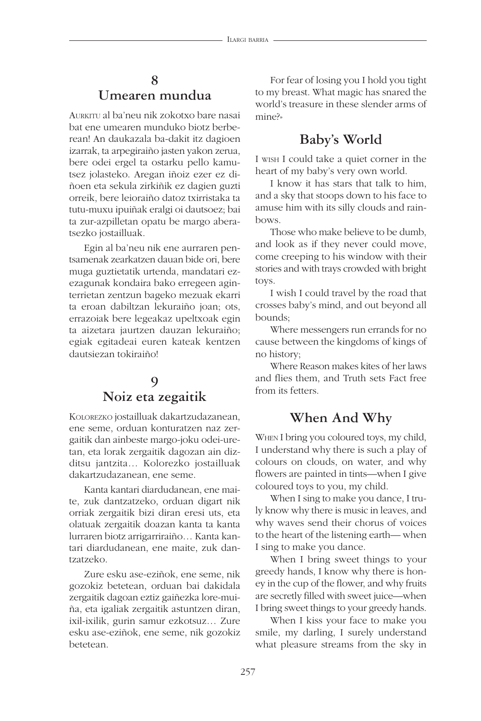#### **8 Umearen mundua**

AURKITU al ba'neu nik zokotxo bare nasai bat ene umearen munduko biotz berberean! An daukazala ba-dakit itz dagioen izarrak, ta arpegiraiño jasten yakon zerua, bere odei ergel ta ostarku pello kamutsez jolasteko. Aregan iñoiz ezer ez diñoen eta sekula zirkiñik ez dagien guzti orreik, bere leioraiño datoz txirristaka ta tutu-muxu ipuiñak eralgi oi dautsoez; bai ta zur-azpilletan opatu be margo aberatsezko jostailluak.

Egin al ba'neu nik ene aurraren pentsamenak zearkatzen dauan bide ori, bere muga guztietatik urtenda, mandatari ezezagunak kondaira bako erregeen aginterrietan zentzun bageko mezuak ekarri ta eroan dabiltzan lekuraiño joan; ots, errazoiak bere legeakaz upeltxoak egin ta aizetara jaurtzen dauzan lekuraiño; egiak egitadeai euren kateak kentzen dautsiezan tokiraiño!

#### **9 Noiz eta zegaitik**

KOLOREZKO jostailluak dakartzudazanean, ene seme, orduan konturatzen naz zergaitik dan ainbeste margo-joku odei-uretan, eta lorak zergaitik dagozan ain dizditsu jantzita… Kolorezko jostailluak dakartzudazanean, ene seme.

Kanta kantari diardudanean, ene maite, zuk dantzatzeko, orduan digart nik orriak zergaitik bizi diran eresi uts, eta olatuak zergaitik doazan kanta ta kanta lurraren biotz arrigarriraiño… Kanta kantari diardudanean, ene maite, zuk dantzatzeko.

Zure esku ase-eziñok, ene seme, nik gozokiz betetean, orduan bai dakidala zergaitik dagoan eztiz gaiñezka lore-muiña, eta igaliak zergaitik astuntzen diran, ixil-ixilik, gurin samur ezkotsuz… Zure esku ase-eziñok, ene seme, nik gozokiz betetean.

For fear of losing you I hold you tight to my breast. What magic has snared the world's treasure in these slender arms of mine?»

# **Baby's World**

I WISH I could take a quiet corner in the heart of my baby's very own world.

I know it has stars that talk to him, and a sky that stoops down to his face to amuse him with its silly clouds and rainbows.

Those who make believe to be dumb, and look as if they never could move, come creeping to his window with their stories and with trays crowded with bright toys.

I wish I could travel by the road that crosses baby's mind, and out beyond all bounds;

Where messengers run errands for no cause between the kingdoms of kings of no history;

Where Reason makes kites of her laws and flies them, and Truth sets Fact free from its fetters.

## **When And Why**

WHEN I bring you coloured toys, my child, I understand why there is such a play of colours on clouds, on water, and why flowers are painted in tints—when I give coloured toys to you, my child.

When I sing to make you dance, I truly know why there is music in leaves, and why waves send their chorus of voices to the heart of the listening earth— when I sing to make you dance.

When I bring sweet things to your greedy hands, I know why there is honey in the cup of the flower, and why fruits are secretly filled with sweet juice—when I bring sweet things to your greedy hands.

When I kiss your face to make you smile, my darling, I surely understand what pleasure streams from the sky in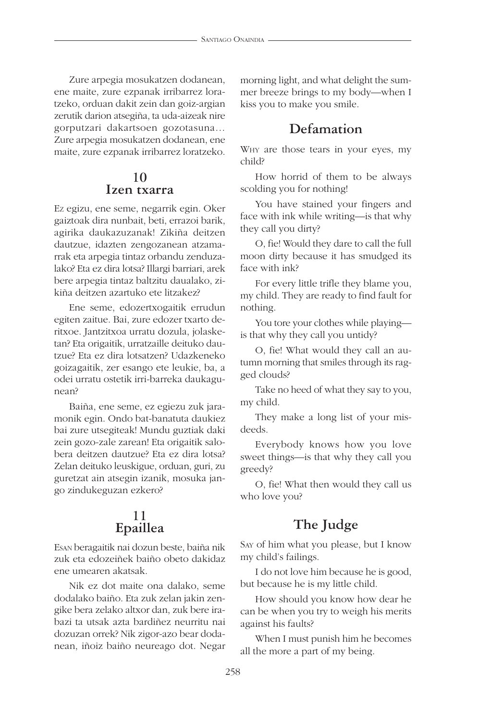Zure arpegia mosukatzen dodanean, ene maite, zure ezpanak irribarrez loratzeko, orduan dakit zein dan goiz-argian zerutik darion atsegiña, ta uda-aizeak nire gorputzari dakartsoen gozotasuna… Zure arpegia mosukatzen dodanean, ene maite, zure ezpanak irribarrez loratzeko.

#### **10 Izen txarra**

EZ egizu, ene seme, negarrik egin. Oker gaiztoak dira nunbait, beti, errazoi barik, agirika daukazuzanak! Zikiña deitzen dautzue, idazten zengozanean atzamarrak eta arpegia tintaz orbandu zenduzalako? Eta ez dira lotsa? Illargi barriari, arek bere arpegia tintaz baltzitu daualako, zikiña deitzen azartuko ete litzakez?

Ene seme, edozertxogaitik errudun egiten zaitue. Bai, zure edozer txarto deritxoe. Jantzitxoa urratu dozula, jolasketan? Eta origaitik, urratzaille deituko dautzue? Eta ez dira lotsatzen? Udazkeneko goizagaitik, zer esango ete leukie, ba, a odei urratu ostetik irri-barreka daukagunean?

Baiña, ene seme, ez egiezu zuk jaramonik egin. Ondo bat-banatuta daukiez bai zure utsegiteak! Mundu guztiak daki zein gozo-zale zarean! Eta origaitik salobera deitzen dautzue? Eta ez dira lotsa? Zelan deituko leuskigue, orduan, guri, zu guretzat ain atsegin izanik, mosuka jango zindukeguzan ezkero?

#### **11 Epaillea**

ESAN beragaitik nai dozun beste, baiña nik zuk eta edozeiñek baiño obeto dakidaz ene umearen akatsak.

Nik ez dot maite ona dalako, seme dodalako baiño. Eta zuk zelan jakin zengike bera zelako altxor dan, zuk bere irabazi ta utsak azta bardiñez neurritu nai dozuzan orrek? Nik zigor-azo bear dodanean, iñoiz baiño neureago dot. Negar morning light, and what delight the summer breeze brings to my body—when I kiss you to make you smile.

#### **Defamation**

WHY are those tears in your eyes, my child?

How horrid of them to be always scolding you for nothing!

You have stained your fingers and face with ink while writing—is that why they call you dirty?

O, fie! Would they dare to call the full moon dirty because it has smudged its face with ink?

For every little trifle they blame you, my child. They are ready to find fault for nothing.

You tore your clothes while playing is that why they call you untidy?

O, fie! What would they call an autumn morning that smiles through its ragged clouds?

Take no heed of what they say to you, my child.

They make a long list of your misdeeds.

Everybody knows how you love sweet things—is that why they call you greedy?

O, fie! What then would they call us who love you?

# **The Judge**

SAY of him what you please, but I know my child's failings.

I do not love him because he is good, but because he is my little child.

How should you know how dear he can be when you try to weigh his merits against his faults?

When I must punish him he becomes all the more a part of my being.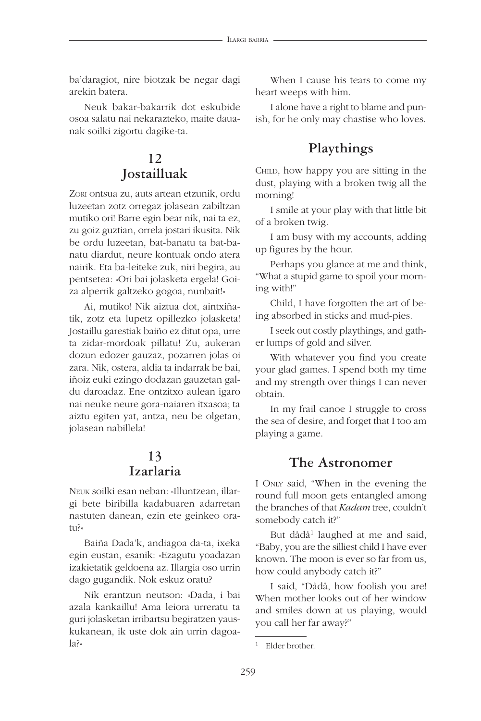ba'daragiot, nire biotzak be negar dagi arekin batera.

Neuk bakar-bakarrik dot eskubide osoa salatu nai nekarazteko, maite dauanak soilki zigortu dagike-ta.

#### **12 Jostailluak**

ZORI ontsua zu, auts artean etzunik, ordu luzeetan zotz orregaz jolasean zabiltzan mutiko ori! Barre egin bear nik, nai ta ez, zu goiz guztian, orrela jostari ikusita. Nik be ordu luzeetan, bat-banatu ta bat-banatu diardut, neure kontuak ondo atera nairik. Eta ba-leiteke zuk, niri begira, au pentsetea: «Ori bai jolasketa ergela! Goiza alperrik galtzeko gogoa, nunbait!»

Ai, mutiko! Nik aiztua dot, aintxiñatik, zotz eta lupetz opillezko jolasketa! Jostaillu garestiak baiño ez ditut opa, urre ta zidar-mordoak pillatu! Zu, aukeran dozun edozer gauzaz, pozarren jolas oi zara. Nik, ostera, aldia ta indarrak be bai, iñoiz euki ezingo dodazan gauzetan galdu daroadaz. Ene ontzitxo aulean igaro nai neuke neure gora-naiaren itxasoa; ta aiztu egiten yat, antza, neu be olgetan, jolasean nabillela!

#### **13 Izarlaria**

NEUK soilki esan neban: «Illuntzean, illargi bete biribilla kadabuaren adarretan nastuten danean, ezin ete geinkeo oratu?»

Baiña Dada'k, andiagoa da-ta, ixeka egin eustan, esanik: «Ezagutu yoadazan izakietatik geldoena az. Illargia oso urrin dago gugandik. Nok eskuz oratu?

Nik erantzun neutson: «Dada, i bai azala kankaillu! Ama leiora urreratu ta guri jolasketan irribartsu begiratzen yauskukanean, ik uste dok ain urrin dagoala?»

When I cause his tears to come my heart weeps with him.

I alone have a right to blame and punish, for he only may chastise who loves.

#### **Playthings**

CHILD, how happy you are sitting in the dust, playing with a broken twig all the morning!

I smile at your play with that little bit of a broken twig.

I am busy with my accounts, adding up figures by the hour.

Perhaps you glance at me and think, "What a stupid game to spoil your morning with!"

Child, I have forgotten the art of being absorbed in sticks and mud-pies.

I seek out costly playthings, and gather lumps of gold and silver.

With whatever you find you create your glad games. I spend both my time and my strength over things I can never obtain.

In my frail canoe I struggle to cross the sea of desire, and forget that I too am playing a game.

#### **The Astronomer**

I ONLY said, "When in the evening the round full moon gets entangled among the branches of that *Kadam* tree, couldn't somebody catch it?"

But dådå1 laughed at me and said, "Baby, you are the silliest child I have ever known. The moon is ever so far from us, how could anybody catch it?"

I said, "Dådå, how foolish you are! When mother looks out of her window and smiles down at us playing, would you call her far away?"

<sup>1</sup> Elder brother.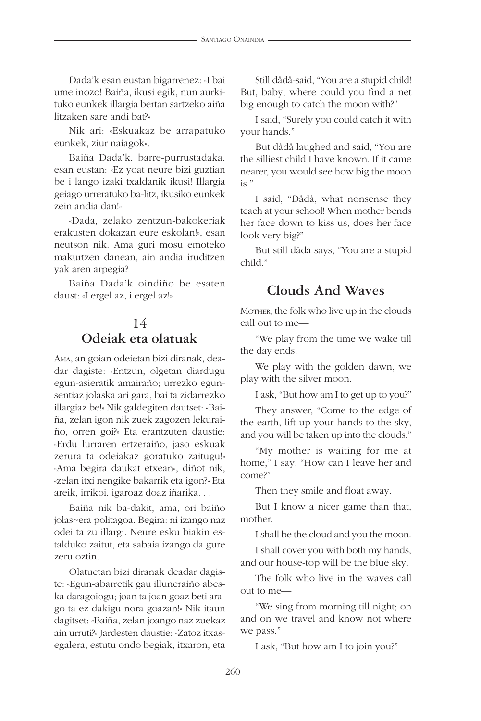Dada'k esan eustan bigarrenez: «I bai ume inozo! Baiña, ikusi egik, nun aurkituko eunkek illargia bertan sartzeko aiña litzaken sare andi bat?»

Nik ari: «Eskuakaz be arrapatuko eunkek, ziur naiagok».

Baiña Dada'k, barre-purrustadaka, esan eustan: «Ez yoat neure bizi guztian be i lango izaki txaldanik ikusi! Illargia geiago urreratuko ba-litz, ikusiko eunkek zein andia dan!»

«Dada, zelako zentzun-bakokeriak erakusten dokazan eure eskolan!», esan neutson nik. Ama guri mosu emoteko makurtzen danean, ain andia iruditzen yak aren arpegia?

Baiña Dada'k oindiño be esaten daust: «I ergel az, i ergel az!»

# **14 Odeiak eta olatuak**

AMA, an goian odeietan bizi diranak, deadar dagiste: «Entzun, olgetan diardugu egun-asieratik amairaño; urrezko egunsentiaz jolaska ari gara, bai ta zidarrezko illargiaz be!» Nik galdegiten dautset: «Baiña, zelan igon nik zuek zagozen lekuraiño, orren goi?» Eta erantzuten daustie: «Erdu lurraren ertzeraiño, jaso eskuak zerura ta odeiakaz goratuko zaitugu!» «Ama begira daukat etxean», diñot nik, «zelan itxi nengike bakarrik eta igon?» Eta areik, irrikoi, igaroaz doaz iñarika. . .

Baiña nik ba-dakit, ama, ori baiño jolas~era politagoa. Begira: ni izango naz odei ta zu illargi. Neure esku biakin estalduko zaitut, eta sabaia izango da gure zeru oztin.

Olatuetan bizi diranak deadar dagiste: «Egun-abarretik gau illuneraiño abeska daragoiogu; joan ta joan goaz beti arago ta ez dakigu nora goazan!» Nik itaun dagitset: «Baiña, zelan joango naz zuekaz ain urruti?» Jardesten daustie: «Zatoz itxasegalera, estutu ondo begiak, itxaron, eta

Still dådå-said, "You are a stupid child! But, baby, where could you find a net big enough to catch the moon with?"

I said, "Surely you could catch it with your hands."

But dådå laughed and said, "You are the silliest child I have known. If it came nearer, you would see how big the moon is."

I said, "Dådå, what nonsense they teach at your school! When mother bends her face down to kiss us, does her face look very big?"

But still dådå says, "You are a stupid child."

#### **Clouds And Waves**

MOTHER, the folk who live up in the clouds call out to me—

"We play from the time we wake till the day ends.

We play with the golden dawn, we play with the silver moon.

I ask, "But how am I to get up to you?"

They answer, "Come to the edge of the earth, lift up your hands to the sky, and you will be taken up into the clouds."

"My mother is waiting for me at home," I say. "How can I leave her and come?"

Then they smile and float away.

But I know a nicer game than that, mother.

I shall be the cloud and you the moon.

I shall cover you with both my hands, and our house-top will be the blue sky.

The folk who live in the waves call out to me—

"We sing from morning till night; on and on we travel and know not where we pass."

I ask, "But how am I to join you?"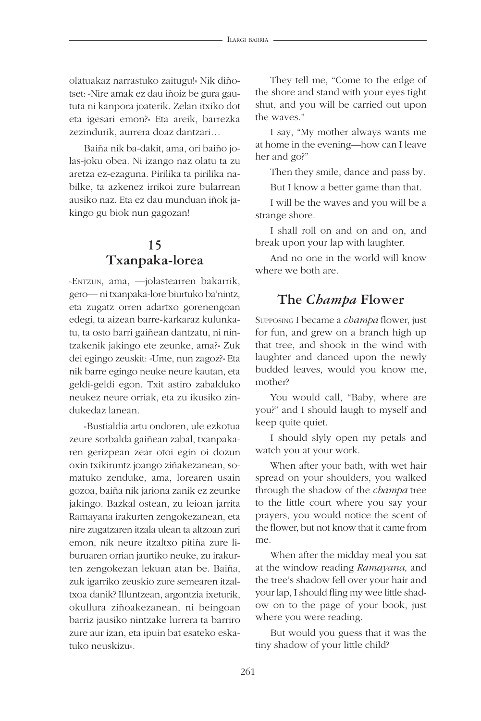olatuakaz narrastuko zaitugu!» Nik diñotset: «Nire amak ez dau iñoiz be gura gaututa ni kanpora joaterik. Zelan itxiko dot eta igesari emon?» Eta areik, barrezka zezindurik, aurrera doaz dantzari…

Baiña nik ba-dakit, ama, ori baiño jolas-joku obea. Ni izango naz olatu ta zu aretza ez-ezaguna. Pirilika ta pirilika nabilke, ta azkenez irrikoi zure bularrean ausiko naz. Eta ez dau munduan iñok jakingo gu biok nun gagozan!

#### **15 Txanpaka-lorea**

«ENTZUN, ama, —jolastearren bakarrik, gero— ni txanpaka-lore biurtuko ba'nintz, eta zugatz orren adartxo gorenengoan edegi, ta aizean barre-karkaraz kulunkatu, ta osto barri gaiñean dantzatu, ni nintzakenik jakingo ete zeunke, ama?» Zuk dei egingo zeuskit: «Ume, nun zagoz?» Eta nik barre egingo neuke neure kautan, eta geldi-geldi egon. Txit astiro zabalduko neukez neure orriak, eta zu ikusiko zindukedaz lanean.

«Bustialdia artu ondoren, ule ezkotua zeure sorbalda gaiñean zabal, txanpakaren gerizpean zear otoi egin oi dozun oxin txikiruntz joango ziñakezanean, somatuko zenduke, ama, lorearen usain gozoa, baiña nik jariona zanik ez zeunke jakingo. Bazkal ostean, zu leioan jarrita Ramayana irakurten zengokezanean, eta nire zugatzaren itzala ulean ta altzoan zuri emon, nik neure itzaltxo pitiña zure liburuaren orrian jaurtiko neuke, zu irakurten zengokezan lekuan atan be. Baiña, zuk igarriko zeuskio zure semearen itzaltxoa danik? Illuntzean, argontzia ixeturik, okullura ziñoakezanean, ni beingoan barriz jausiko nintzake lurrera ta barriro zure aur izan, eta ipuin bat esateko eskatuko neuskizu».

They tell me, "Come to the edge of the shore and stand with your eyes tight shut, and you will be carried out upon the waves."

I say, "My mother always wants me at home in the evening—how can I leave her and go?"

Then they smile, dance and pass by.

But I know a better game than that.

I will be the waves and you will be a strange shore.

I shall roll on and on and on, and break upon your lap with laughter.

And no one in the world will know where we both are.

# **The** *Champa* **Flower**

SUPPOSING I became a *champa* flower, just for fun, and grew on a branch high up that tree, and shook in the wind with laughter and danced upon the newly budded leaves, would you know me, mother?

You would call, "Baby, where are you?" and I should laugh to myself and keep quite quiet.

I should slyly open my petals and watch you at your work.

When after your bath, with wet hair spread on your shoulders, you walked through the shadow of the *cbampa* tree to the little court where you say your prayers, you would notice the scent of the flower, but not know that it came from me.

When after the midday meal you sat at the window reading *Ramayana,* and the tree's shadow fell over your hair and your lap, I should fling my wee little shadow on to the page of your book, just where you were reading.

But would you guess that it was the tiny shadow of your little child?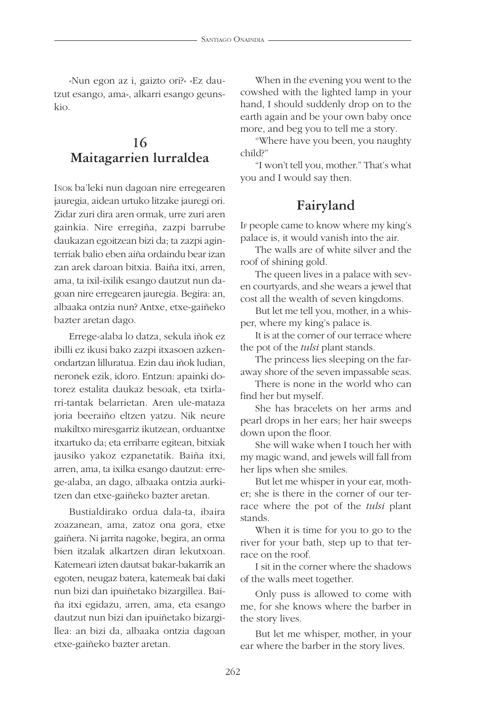«Nun egon az i, gaizto ori?» «Ez dautzut esango, ama», alkarri esango geunskio.

#### **16 Maitagarrien lurraldea**

Iñok ba'leki nun dagoan nire erregearen jauregia, aidean urtuko litzake jauregi ori. Zidar zuri dira aren ormak, urre zuri aren gainkia. Nire erregiña, zazpi barrube daukazan egoitzean bizi da; ta zazpi aginterriak balio eben aiña ordaindu bear izan zan arek daroan bitxia. Baiña itxi, arren, ama, ta ixil-ixilik esango dautzut nun dagoan nire erregearen jauregia. Begira: an, albaaka ontzia nun? Antxe, etxe-gaiñeko bazter aretan dago.

Errege-alaba lo datza, sekula iñok ez ibilli ez ikusi bako zazpi itxasoen azkenondartzan lilluratua. Ezin dau iñok ludian, neronek ezik, idoro. Entzun: apainki dotorez estalita daukaz besoak, eta txirlarri-tantak belarrietan. Aren ule-mataza joria beeraiño eltzen yatzu. Nik neure makiltxo miresgarriz ikutzean, orduantxe itxartuko da; eta erribarre egitean, bitxiak jausiko yakoz ezpanetatik. Baiña itxi, arren, ama, ta ixilka esango dautzut: errege-alaba, an dago, albaaka ontzia aurkitzen dan etxe-gaiñeko bazter aretan.

Bustialdirako ordua dala-ta, ibaira zoazanean, ama, zatoz ona gora, etxe gaiñera. Ni jarrita nagoke, begira, an orma bien itzalak alkartzen diran lekutxoan. Katemeari izten dautsat bakar-bakarrik an egoten, neugaz batera, katemeak bai daki nun bizi dan ipuiñetako bizargillea. Baiña itxi egidazu, arren, ama, eta esango dautzut nun bizi dan ipuiñetako bizargillea: an bizi da, albaaka ontzia dagoan etxe-gaiñeko bazter aretan.

When in the evening you went to the cowshed with the lighted lamp in your hand, I should suddenly drop on to the earth again and be your own baby once more, and beg you to tell me a story.

"Where have you been, you naughty child?"

"I won't tell you, mother." That's what you and I would say then.

# **Fairyland**

IF people came to know where my king's palace is, it would vanish into the air.

The walls are of white silver and the roof of shining gold.

The queen lives in a palace with seven courtyards, and she wears a jewel that cost all the wealth of seven kingdoms.

But let me tell you, mother, in a whisper, where my king's palace is.

It is at the corner of our terrace where the pot of the *tulsi* plant stands.

The princess lies sleeping on the faraway shore of the seven impassable seas.

There is none in the world who can find her but myself.

She has bracelets on her arms and pearl drops in her ears; her hair sweeps down upon the floor.

She will wake when I touch her with my magic wand, and jewels will fall from her lips when she smiles.

But let me whisper in your ear, mother; she is there in the corner of our terrace where the pot of the *tulsi* plant stands.

When it is time for you to go to the river for your bath, step up to that terrace on the roof.

I sit in the corner where the shadows of the walls meet together.

Only puss is allowed to come with me, for she knows where the barber in the story lives.

But let me whisper, mother, in your ear where the barber in the story lives.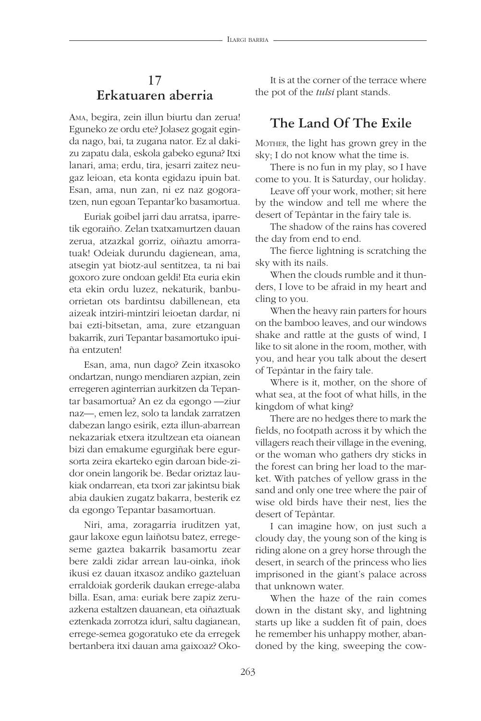#### **17 Erkatuaren aberria**

AMA, begira, zein illun biurtu dan zerua! Eguneko ze ordu ete? Jolasez gogait eginda nago, bai, ta zugana nator. Ez al dakizu zapatu dala, eskola gabeko eguna? Itxi lanari, ama; erdu, tira, jesarri zaitez neugaz leioan, eta konta egidazu ipuin bat. Esan, ama, nun zan, ni ez naz gogoratzen, nun egoan Tepantar'ko basamortua.

Euriak goibel jarri dau arratsa, iparretik egoraiño. Zelan txatxamurtzen dauan zerua, atzazkal gorriz, oiñaztu amorratuak! Odeiak durundu dagienean, ama, atsegin yat biotz-aul sentitzea, ta ni bai goxoro zure ondoan geldi! Eta euria ekin eta ekin ordu luzez, nekaturik, banbuorrietan ots bardintsu dabillenean, eta aizeak intziri-mintziri leioetan dardar, ni bai ezti-bitsetan, ama, zure etzanguan bakarrik, zuri Tepantar basamortuko ipuiña entzuten!

Esan, ama, nun dago? Zein itxasoko ondartzan, nungo mendiaren azpian, zein erregeren aginterrian aurkitzen da Tepantar basamortua? An ez da egongo —ziur naz—, emen lez, solo ta landak zarratzen dabezan lango esirik, ezta illun-abarrean nekazariak etxera itzultzean eta oianean bizi dan emakume egurgiñak bere egursorta zeira ekarteko egin daroan bide-zidor onein langorik be. Bedar oriztaz laukiak ondarrean, eta txori zar jakintsu biak abia daukien zugatz bakarra, besterik ez da egongo Tepantar basamortuan.

Niri, ama, zoragarria iruditzen yat, gaur lakoxe egun laiñotsu batez, erregeseme gaztea bakarrik basamortu zear bere zaldi zidar arrean lau-oinka, iñok ikusi ez dauan itxasoz andiko gazteluan erraldoiak gorderik daukan errege-alaba billa. Esan, ama: euriak bere zapiz zeruazkena estaltzen dauanean, eta oiñaztuak eztenkada zorrotza iduri, saltu dagianean, errege-semea gogoratuko ete da erregek bertanbera itxi dauan ama gaixoaz? Oko-

It is at the corner of the terrace where the pot of the *tulsi* plant stands.

#### **The Land Of The Exile**

MOTHER, the light has grown grey in the sky; I do not know what the time is.

There is no fun in my play, so I have come to you. It is Saturday, our holiday.

Leave off your work, mother; sit here by the window and tell me where the desert of Tepåntar in the fairy tale is.

The shadow of the rains has covered the day from end to end.

The fierce lightning is scratching the sky with its nails.

When the clouds rumble and it thunders, I love to be afraid in my heart and cling to you.

When the heavy rain parters for hours on the bamboo leaves, and our windows shake and rattle at the gusts of wind, I like to sit alone in the room, mother, with you, and hear you talk about the desert of Tepåntar in the fairy tale.

Where is it, mother, on the shore of what sea, at the foot of what hills, in the kingdom of what king?

There are no hedges there to mark the fields, no footpath across it by which the villagers reach their village in the evening, or the woman who gathers dry sticks in the forest can bring her load to the market. With patches of yellow grass in the sand and only one tree where the pair of wise old birds have their nest, lies the desert of Tepåntar.

I can imagine how, on just such a cloudy day, the young son of the king is riding alone on a grey horse through the desert, in search of the princess who lies imprisoned in the giant's palace across that unknown water.

When the haze of the rain comes down in the distant sky, and lightning starts up like a sudden fit of pain, does he remember his unhappy mother, abandoned by the king, sweeping the cow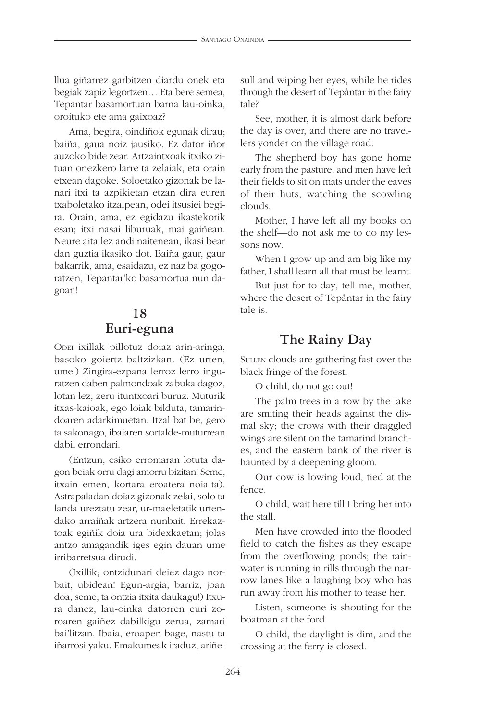llua giñarrez garbitzen diardu onek eta begiak zapiz legortzen… Eta bere semea, Tepantar basamortuan barna lau-oinka, oroituko ete ama gaixoaz?

Ama, begira, oindiñok egunak dirau; baiña, gaua noiz jausiko. Ez dator iñor auzoko bide zear. Artzaintxoak itxiko zituan onezkero larre ta zelaiak, eta orain etxean dagoke. Soloetako gizonak be lanari itxi ta azpikietan etzan dira euren txaboletako itzalpean, odei itsusiei begira. Orain, ama, ez egidazu ikastekorik esan; itxi nasai liburuak, mai gaiñean. Neure aita lez andi naitenean, ikasi bear dan guztia ikasiko dot. Baiña gaur, gaur bakarrik, ama, esaidazu, ez naz ba gogoratzen, Tepantar'ko basamortua nun dagoan!

#### **18 Euri-eguna**

ODEI ixillak pillotuz doiaz arin-aringa, basoko goiertz baltzizkan. (Ez urten, ume!) Zingira-ezpana lerroz lerro inguratzen daben palmondoak zabuka dagoz, lotan lez, zeru ituntxoari buruz. Muturik itxas-kaioak, ego loiak bilduta, tamarindoaren adarkimuetan. Itzal bat be, gero ta sakonago, ibaiaren sortalde-muturrean dabil errondari.

(Entzun, esiko erromaran lotuta dagon beiak orru dagi amorru bizitan! Seme, itxain emen, kortara eroatera noia-ta). Astrapaladan doiaz gizonak zelai, solo ta landa ureztatu zear, ur-maeletatik urtendako arraiñak artzera nunbait. Errekaztoak egiñik doia ura bidexkaetan; jolas antzo amagandik iges egin dauan ume irribarretsua dirudi.

(Ixillik; ontzidunari deiez dago norbait, ubidean! Egun-argia, barriz, joan doa, seme, ta ontzia itxita daukagu!) Itxura danez, lau-oinka datorren euri zoroaren gaiñez dabilkigu zerua, zamari bai'litzan. Ibaia, eroapen bage, nastu ta iñarrosi yaku. Emakumeak iraduz, ariñesull and wiping her eyes, while he rides through the desert of Tepåntar in the fairy tale?

See, mother, it is almost dark before the day is over, and there are no travellers yonder on the village road.

The shepherd boy has gone home early from the pasture, and men have left their fields to sit on mats under the eaves of their huts, watching the scowling clouds.

Mother, I have left all my books on the shelf—do not ask me to do my lessons now.

When I grow up and am big like my father, I shall learn all that must be learnt.

But just for to-day, tell me, mother, where the desert of Tepåntar in the fairy tale is.

#### **The Rainy Day**

SULLEN clouds are gathering fast over the black fringe of the forest.

O child, do not go out!

The palm trees in a row by the lake are smiting their heads against the dismal sky; the crows with their draggled wings are silent on the tamarind branches, and the eastern bank of the river is haunted by a deepening gloom.

Our cow is lowing loud, tied at the fence.

O child, wait here till I bring her into the stall.

Men have crowded into the flooded field to catch the fishes as they escape from the overflowing ponds; the rainwater is running in rills through the narrow lanes like a laughing boy who has run away from his mother to tease her.

Listen, someone is shouting for the boatman at the ford.

O child, the daylight is dim, and the crossing at the ferry is closed.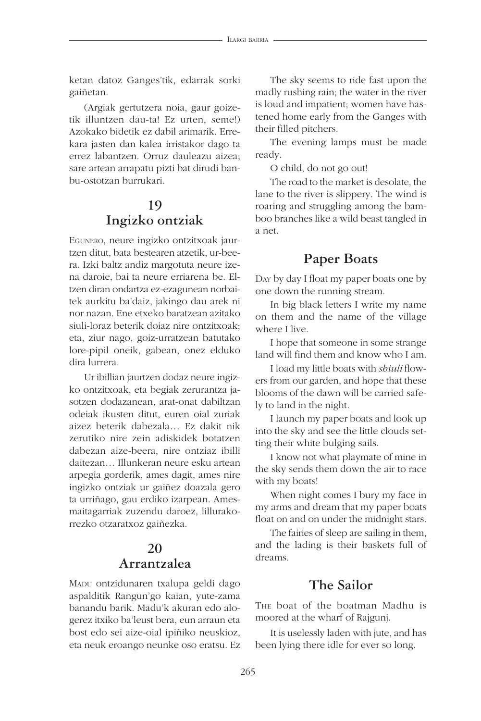ketan datoz Ganges'tik, edarrak sorki gaiñetan.

(Argiak gertutzera noia, gaur goizetik illuntzen dau-ta! Ez urten, seme!) Azokako bidetik ez dabil arimarik. Errekara jasten dan kalea irristakor dago ta errez labantzen. Orruz dauleazu aizea; sare artean arrapatu pizti bat dirudi banbu-ostotzan burrukari.

# **19 Ingizko ontziak**

EGUNERO, neure ingizko ontzitxoak jaurtzen ditut, bata bestearen atzetik, ur-beera. Izki baltz andiz margotuta neure izena daroie, bai ta neure erriarena be. Eltzen diran ondartza ez-ezagunean norbaitek aurkitu ba'daiz, jakingo dau arek ni nor nazan. Ene etxeko baratzean azitako siuli-loraz beterik doiaz nire ontzitxoak; eta, ziur nago, goiz-urratzean batutako lore-pipil oneik, gabean, onez elduko dira lurrera.

Ur ibillian jaurtzen dodaz neure ingizko ontzitxoak, eta begiak zerurantza jasotzen dodazanean, arat-onat dabiltzan odeiak ikusten ditut, euren oial zuriak aizez beterik dabezala… Ez dakit nik zerutiko nire zein adiskidek botatzen dabezan aize-beera, nire ontziaz ibilli daitezan… Illunkeran neure esku artean arpegia gorderik, ames dagit, ames nire ingizko ontziak ur gaiñez doazala gero ta urriñago, gau erdiko izarpean. Amesmaitagarriak zuzendu daroez, lillurakorrezko otzaratxoz gaiñezka.

# **20 Arrantzalea**

MADU ontzidunaren txalupa geldi dago aspalditik Rangun'go kaian, yute-zama banandu barik. Madu'k akuran edo alogerez itxiko ba'leust bera, eun arraun eta bost edo sei aize-oial ipiñiko neuskioz, eta neuk eroango neunke oso eratsu. Ez

The sky seems to ride fast upon the madly rushing rain; the water in the river is loud and impatient; women have hastened home early from the Ganges with their filled pitchers.

The evening lamps must be made ready.

O child, do not go out!

The road to the market is desolate, the lane to the river is slippery. The wind is roaring and struggling among the bamboo branches like a wild beast tangled in a net.

#### **Paper Boats**

DAY by day I float my paper boats one by one down the running stream.

In big black letters I write my name on them and the name of the village where I live.

I hope that someone in some strange land will find them and know who I am.

I load my little boats with *shiuli* flowers from our garden, and hope that these blooms of the dawn will be carried safely to land in the night.

I launch my paper boats and look up into the sky and see the little clouds setting their white bulging sails.

I know not what playmate of mine in the sky sends them down the air to race with my boats!

When night comes I bury my face in my arms and dream that my paper boats float on and on under the midnight stars.

The fairies of sleep are sailing in them, and the lading is their baskets full of dreams.

#### **The Sailor**

THE boat of the boatman Madhu is moored at the wharf of Rajgunj.

It is uselessly laden with jute, and has been lying there idle for ever so long.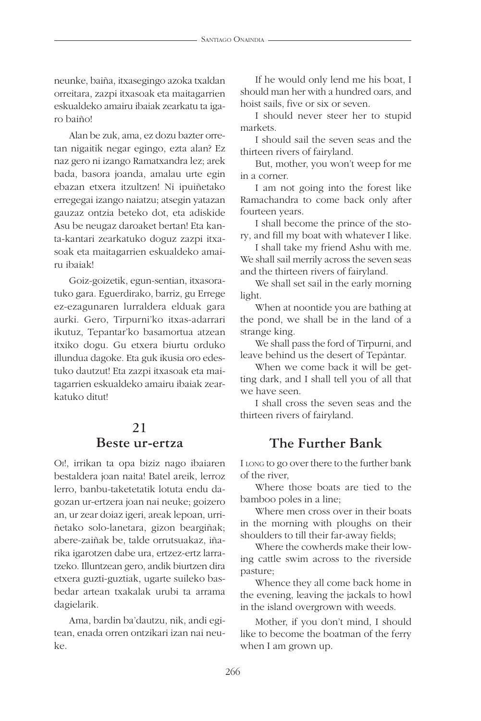neunke, baiña, itxasegingo azoka txaldan orreitara, zazpi itxasoak eta maitagarrien eskualdeko amairu ibaiak zearkatu ta igaro baiño!

Alan be zuk, ama, ez dozu bazter orretan nigaitik negar egingo, ezta alan? Ez naz gero ni izango Ramatxandra lez; arek bada, basora joanda, amalau urte egin ebazan etxera itzultzen! Ni ipuiñetako erregegai izango naiatzu; atsegin yatazan gauzaz ontzia beteko dot, eta adiskide Asu be neugaz daroaket bertan! Eta kanta-kantari zearkatuko doguz zazpi itxasoak eta maitagarrien eskualdeko amairu ibaiak!

Goiz-goizetik, egun-sentian, itxasoratuko gara. Eguerdirako, barriz, gu Errege ez-ezagunaren lurraldera elduak gara aurki. Gero, Tirpurni'ko itxas-adarrari ikutuz, Tepantar'ko basamortua atzean itxiko dogu. Gu etxera biurtu orduko illundua dagoke. Eta guk ikusia oro edestuko dautzut! Eta zazpi itxasoak eta maitagarrien eskualdeko amairu ibaiak zearkatuko ditut!

# **21 Beste ur-ertza**

OI!, irrikan ta opa biziz nago ibaiaren bestaldera joan naita! Batel areik, lerroz lerro, banbu-taketetatik lotuta endu dagozan ur-ertzera joan nai neuke; goizero an, ur zear doiaz igeri, areak lepoan, urriñetako solo-lanetara, gizon beargiñak; abere-zaiñak be, talde orrutsuakaz, iñarika igarotzen dabe ura, ertzez-ertz larratzeko. Illuntzean gero, andik biurtzen dira etxera guzti-guztiak, ugarte suileko basbedar artean txakalak urubi ta arrama dagielarik.

Ama, bardin ba'dautzu, nik, andi egitean, enada orren ontzikari izan nai neuke.

If he would only lend me his boat, I should man her with a hundred oars, and hoist sails, five or six or seven.

I should never steer her to stupid markets.

I should sail the seven seas and the thirteen rivers of fairyland.

But, mother, you won't weep for me in a corner.

I am not going into the forest like Ramachandra to come back only after fourteen years.

I shall become the prince of the story, and fill my boat with whatever I like.

I shall take my friend Ashu with me. We shall sail merrily across the seven seas and the thirteen rivers of fairyland.

We shall set sail in the early morning light.

When at noontide you are bathing at the pond, we shall be in the land of a strange king.

We shall pass the ford of Tirpurni, and leave behind us the desert of Tepåntar.

When we come back it will be getting dark, and I shall tell you of all that we have seen.

I shall cross the seven seas and the thirteen rivers of fairyland.

#### **The Further Bank**

I LONG to go over there to the further bank of the river,

Where those boats are tied to the bamboo poles in a line;

Where men cross over in their boats in the morning with ploughs on their shoulders to till their far-away fields;

Where the cowherds make their lowing cattle swim across to the riverside pasture;

Whence they all come back home in the evening, leaving the jackals to howl in the island overgrown with weeds.

Mother, if you don't mind, I should like to become the boatman of the ferry when I am grown up.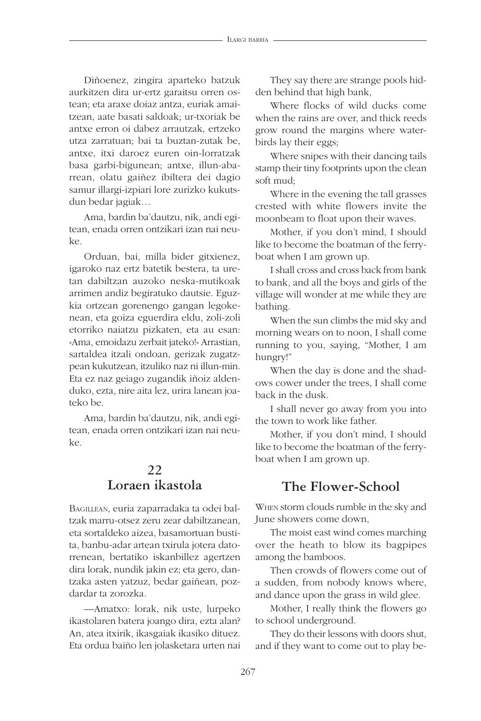Diñoenez, zingira aparteko batzuk aurkitzen dira ur-ertz garaitsu orren ostean; eta araxe doiaz antza, euriak amaitzean, aate basati saldoak; ur-txoriak be antxe erron oi dabez arrautzak, ertzeko utza zarratuan; bai ta buztan-zutak be, antxe, itxi daroez euren oin-lorratzak basa garbi-bigunean; antxe, illun-abarrean, olatu gaiñez ibiltera dei dagio samur illargi-izpiari lore zurizko kukutsdun bedar jagiak…

Ama, bardin ba'dautzu, nik, andi egitean, enada orren ontzikari izan nai neuke.

Orduan, bai, milla bider gitxienez, igaroko naz ertz batetik bestera, ta uretan dabiltzan auzoko neska-mutikoak arrimen andiz begiratuko dautsie. Eguzkia ortzean gorenengo gangan legokenean, eta goiza eguerdira eldu, zoli-zoli etorriko naiatzu pizkaten, eta au esan: «Ama, emoidazu zerbait jateko!» Arrastian, sartaldea itzali ondoan, gerizak zugatzpean kukutzean, itzuliko naz ni illun-min. Eta ez naz geiago zugandik iñoiz aldenduko, ezta, nire aita lez, urira lanean joateko be.

Ama, bardin ba'dautzu, nik, andi egitean, enada orren ontzikari izan nai neuke.

## **22 Loraen ikastola**

BAGILLEAN, euria zaparradaka ta odei baltzak marru-otsez zeru zear dabiltzanean, eta sortaldeko aizea, basamortuan bustita, banbu-adar artean txirula jotera datorrenean, bertatiko iskanbillez agertzen dira lorak, nundik jakin ez; eta gero, dantzaka asten yatzuz, bedar gaiñean, pozdardar ta zorozka.

—Amatxo: lorak, nik uste, lurpeko ikastolaren batera joango dira, ezta alan? An, atea itxirik, ikasgaiak ikasiko dituez. Eta ordua baiño len jolasketara urten nai

They say there are strange pools hidden behind that high bank,

Where flocks of wild ducks come when the rains are over, and thick reeds grow round the margins where waterbirds lay their eggs;

Where snipes with their dancing tails stamp their tiny footprints upon the clean soft mud;

Where in the evening the tall grasses crested with white flowers invite the moonbeam to float upon their waves.

Mother, if you don't mind, I should like to become the boatman of the ferryboat when I am grown up.

I shall cross and cross back from bank to bank, and all the boys and girls of the village will wonder at me while they are bathing.

When the sun climbs the mid sky and morning wears on to noon, I shall come running to you, saying, "Mother, I am hungry!"

When the day is done and the shadows cower under the trees, I shall come back in the dusk.

I shall never go away from you into the town to work like father.

Mother, if you don't mind, I should like to become the boatman of the ferryboat when I am grown up.

#### **The Flower-School**

WHEN storm clouds rumble in the sky and June showers come down,

The moist east wind comes marching over the heath to blow its bagpipes among the bamboos.

Then crowds of flowers come out of a sudden, from nobody knows where, and dance upon the grass in wild glee.

Mother, I really think the flowers go to school underground.

They do their lessons with doors shut, and if they want to come out to play be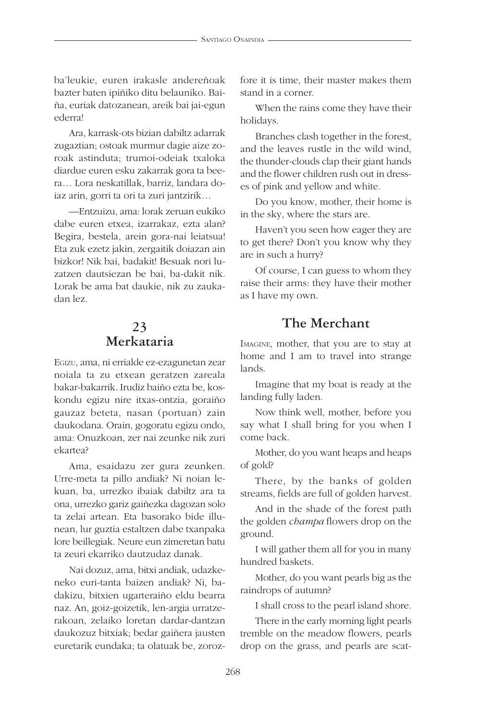ba'leukie, euren irakasle andereñoak bazter baten ipiñiko ditu belauniko. Baiña, euriak datozanean, areik bai jai-egun ederra!

Ara, karrask-ots bizian dabiltz adarrak zugaztian; ostoak murmur dagie aize zoroak astinduta; trumoi-odeiak txaloka diardue euren esku zakarrak gora ta beera… Lora neskatillak, barriz, landara doiaz arin, gorri ta ori ta zuri jantzirik…

—Entzuizu, ama: lorak zeruan eukiko dabe euren etxea, izarrakaz, ezta alan? Begira, bestela, arein gora-nai leiatsua! Eta zuk ezetz jakin, zergaitik doiazan ain bizkor! Nik bai, badakit! Besuak nori luzatzen dautsiezan be bai, ba-dakit nik. Lorak be ama bat daukie, nik zu zaukadan lez.

# **23 Merkataria**

EGIZU, ama, ni errialde ez-ezagunetan zear noiala ta zu etxean geratzen zareala bakar-bakarrik. Irudiz baiño ezta be, koskondu egizu nire itxas-ontzia, goraiño gauzaz beteta, nasan (portuan) zain daukodana. Orain, gogoratu egizu ondo, ama: Onuzkoan, zer nai zeunke nik zuri ekartea?

Ama, esaidazu zer gura zeunken. Urre-meta ta pillo andiak? Ni noian lekuan, ba, urrezko ibaiak dabiltz ara ta ona, urrezko gariz gaiñezka dagozan solo ta zelai artean. Eta basorako bide illunean, lur guztia estaltzen dabe txanpaka lore beillegiak. Neure eun zimeretan batu ta zeuri ekarriko dautzudaz danak.

Nai dozuz, ama, bitxi andiak, udazkeneko euri-tanta baizen andiak? Ni, badakizu, bitxien ugarteraiño eldu bearra naz. An, goiz-goizetik, len-argia urratzerakoan, zelaiko loretan dardar-dantzan daukozuz bitxiak; bedar gaiñera jausten euretarik eundaka; ta olatuak be, zorozfore it is time, their master makes them stand in a corner.

When the rains come they have their holidays.

Branches clash together in the forest, and the leaves rustle in the wild wind, the thunder-clouds clap their giant hands and the flower children rush out in dresses of pink and yellow and white.

Do you know, mother, their home is in the sky, where the stars are.

Haven't you seen how eager they are to get there? Don't you know why they are in such a hurry?

Of course, I can guess to whom they raise their arms: they have their mother as I have my own.

#### **The Merchant**

IMAGINE, mother, that you are to stay at home and I am to travel into strange lands.

Imagine that my boat is ready at the landing fully laden.

Now think well, mother, before you say what I shall bring for you when I come back.

Mother, do you want heaps and heaps of gold?

There, by the banks of golden streams, fields are full of golden harvest.

And in the shade of the forest path the golden *champa* flowers drop on the ground.

I will gather them all for you in many hundred baskets.

Mother, do you want pearls big as the raindrops of autumn?

I shall cross to the pearl island shore.

There in the early morning light pearls tremble on the meadow flowers, pearls drop on the grass, and pearls are scat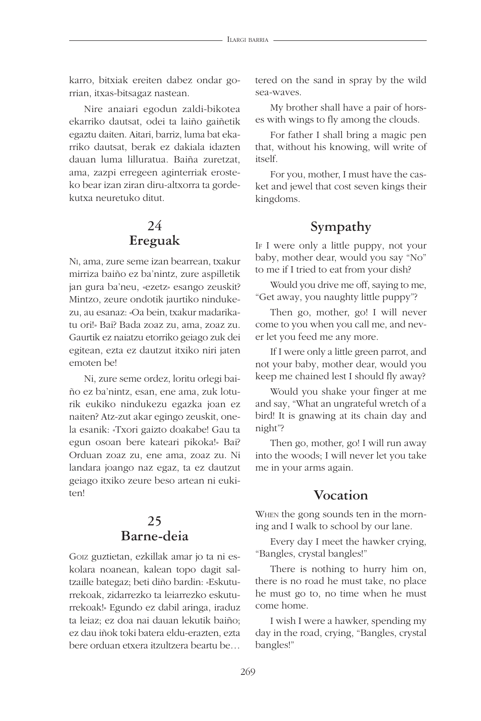karro, bitxiak ereiten dabez ondar gorrian, itxas-bitsagaz nastean.

Nire anaiari egodun zaldi-bikotea ekarriko dautsat, odei ta laiño gaiñetik egaztu daiten. Aitari, barriz, luma bat ekarriko dautsat, berak ez dakiala idazten dauan luma lilluratua. Baiña zuretzat, ama, zazpi erregeen aginterriak erosteko bear izan ziran diru-altxorra ta gordekutxa neuretuko ditut.

## **24 Ereguak**

NI, ama, zure seme izan bearrean, txakur mirriza baiño ez ba'nintz, zure aspilletik jan gura ba'neu, «ezetz» esango zeuskit? Mintzo, zeure ondotik jaurtiko nindukezu, au esanaz: «Oa bein, txakur madarikatu ori!» Bai? Bada zoaz zu, ama, zoaz zu. Gaurtik ez naiatzu etorriko geiago zuk dei egitean, ezta ez dautzut itxiko niri jaten emoten be!

Ni, zure seme ordez, loritu orlegi baiño ez ba'nintz, esan, ene ama, zuk loturik eukiko nindukezu egazka joan ez naiten? Atz-zut akar egingo zeuskit, onela esanik: «Txori gaizto doakabe! Gau ta egun osoan bere kateari pikoka!» Bai? Orduan zoaz zu, ene ama, zoaz zu. Ni landara joango naz egaz, ta ez dautzut geiago itxiko zeure beso artean ni eukiten!

#### **25 Barne-deia**

GOIZ guztietan, ezkillak amar jo ta ni eskolara noanean, kalean topo dagit saltzaille bategaz; beti diño bardin: «Eskuturrekoak, zidarrezko ta leiarrezko eskuturrekoak!» Egundo ez dabil aringa, iraduz ta leiaz; ez doa nai dauan lekutik baiño; ez dau iñok toki batera eldu-erazten, ezta bere orduan etxera itzultzera beartu be…

tered on the sand in spray by the wild sea-waves.

My brother shall have a pair of horses with wings to fly among the clouds.

For father I shall bring a magic pen that, without his knowing, will write of itself.

For you, mother, I must have the casket and jewel that cost seven kings their kingdoms.

# **Sympathy**

IF I were only a little puppy, not your baby, mother dear, would you say "No" to me if I tried to eat from your dish?

Would you drive me off, saying to me, "Get away, you naughty little puppy"?

Then go, mother, go! I will never come to you when you call me, and never let you feed me any more.

If I were only a little green parrot, and not your baby, mother dear, would you keep me chained lest I should fly away?

Would you shake your finger at me and say, "What an ungrateful wretch of a bird! It is gnawing at its chain day and night"?

Then go, mother, go! I will run away into the woods; I will never let you take me in your arms again.

#### **Vocation**

WHEN the gong sounds ten in the morning and I walk to school by our lane.

Every day I meet the hawker crying, "Bangles, crystal bangles!"

There is nothing to hurry him on, there is no road he must take, no place he must go to, no time when he must come home.

I wish I were a hawker, spending my day in the road, crying, "Bangles, crystal bangles!"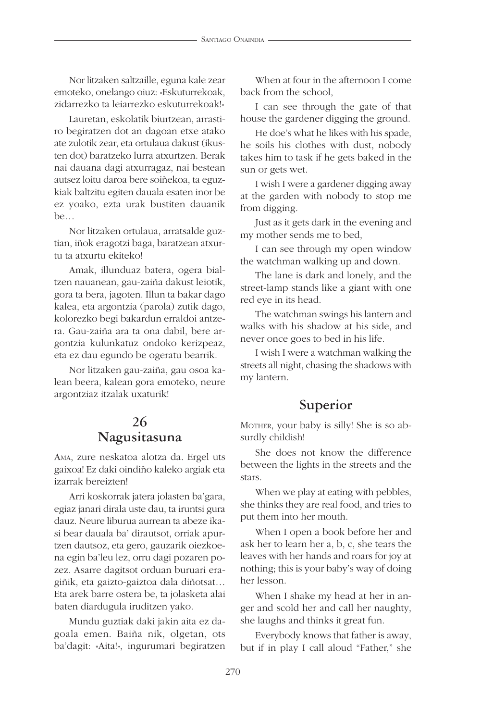Nor litzaken saltzaille, eguna kale zear emoteko, onelango oiuz: «Eskuturrekoak, zidarrezko ta leiarrezko eskuturrekoak!»

Lauretan, eskolatik biurtzean, arrastiro begiratzen dot an dagoan etxe atako ate zulotik zear, eta ortulaua dakust (ikusten dot) baratzeko lurra atxurtzen. Berak nai dauana dagi atxurragaz, nai bestean autsez loitu daroa bere soiñekoa, ta eguzkiak baltzitu egiten dauala esaten inor be ez yoako, ezta urak bustiten dauanik be…

Nor litzaken ortulaua, arratsalde guztian, iñok eragotzi baga, baratzean atxurtu ta atxurtu ekiteko!

Amak, illunduaz batera, ogera bialtzen nauanean, gau-zaiña dakust leiotik, gora ta bera, jagoten. Illun ta bakar dago kalea, eta argontzia (parola) zutik dago, kolorezko begi bakardun erraldoi antzera. Gau-zaiña ara ta ona dabil, bere argontzia kulunkatuz ondoko kerizpeaz, eta ez dau egundo be ogeratu bearrik.

Nor litzaken gau-zaiña, gau osoa kalean beera, kalean gora emoteko, neure argontziaz itzalak uxaturik!

#### **26 Nagusitasuna**

AMA, zure neskatoa alotza da. Ergel uts gaixoa! Ez daki oindiño kaleko argiak eta izarrak bereizten!

Arri koskorrak jatera jolasten ba'gara, egiaz janari dirala uste dau, ta iruntsi gura dauz. Neure liburua aurrean ta abeze ikasi bear dauala ba' dirautsot, orriak apurtzen dautsoz, eta gero, gauzarik oiezkoena egin ba'leu lez, orru dagi pozaren pozez. Asarre dagitsot orduan buruari eragiñik, eta gaizto-gaiztoa dala diñotsat… Eta arek barre ostera be, ta jolasketa alai baten diardugula iruditzen yako.

Mundu guztiak daki jakin aita ez dagoala emen. Baiña nik, olgetan, ots ba'dagit: «Aita!», ingurumari begiratzen

When at four in the afternoon I come back from the school,

I can see through the gate of that house the gardener digging the ground.

He doe's what he likes with his spade, he soils his clothes with dust, nobody takes him to task if he gets baked in the sun or gets wet.

I wish I were a gardener digging away at the garden with nobody to stop me from digging.

Just as it gets dark in the evening and my mother sends me to bed,

I can see through my open window the watchman walking up and down.

The lane is dark and lonely, and the street-lamp stands like a giant with one red eye in its head.

The watchman swings his lantern and walks with his shadow at his side, and never once goes to bed in his life.

I wish I were a watchman walking the streets all night, chasing the shadows with my lantern.

## **Superior**

MOTHER, your baby is silly! She is so absurdly childish!

She does not know the difference between the lights in the streets and the stars.

When we play at eating with pebbles, she thinks they are real food, and tries to put them into her mouth.

When I open a book before her and ask her to learn her a, b, c, she tears the leaves with her hands and roars for joy at nothing; this is your baby's way of doing her lesson.

When I shake my head at her in anger and scold her and call her naughty, she laughs and thinks it great fun.

Everybody knows that father is away, but if in play I call aloud "Father," she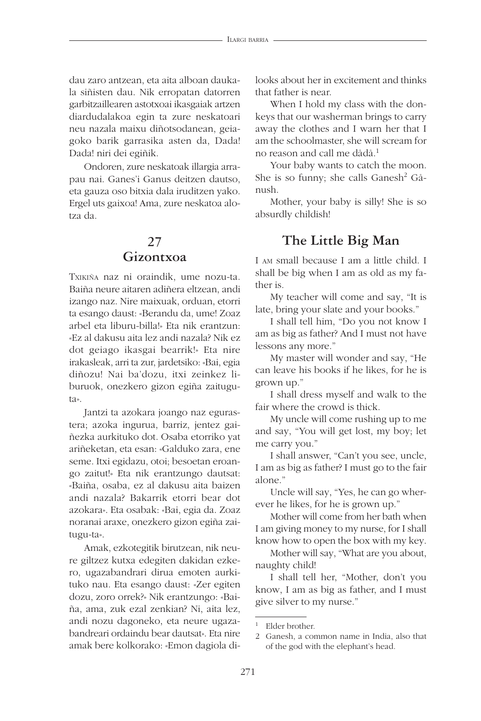dau zaro antzean, eta aita alboan daukala siñisten dau. Nik erropatan datorren garbitzaillearen astotxoai ikasgaiak artzen diardudalakoa egin ta zure neskatoari neu nazala maixu diñotsodanean, geiagoko barik garrasika asten da, Dada! Dada! niri dei egiñik.

Ondoren, zure neskatoak illargia arrapau nai. Ganes'i Ganus deitzen dautso, eta gauza oso bitxia dala iruditzen yako. Ergel uts gaixoa! Ama, zure neskatoa alotza da.

#### **27 Gizontxoa**

TXIKIÑA naz ni oraindik, ume nozu-ta. Baiña neure aitaren adiñera eltzean, andi izango naz. Nire maixuak, orduan, etorri ta esango daust: «Berandu da, ume! Zoaz arbel eta liburu-billa!» Eta nik erantzun: «Ez al dakusu aita lez andi nazala? Nik ez dot geiago ikasgai bearrik!» Eta nire irakasleak, arri ta zur, jardetsiko: «Bai, egia diñozu! Nai ba'dozu, itxi zeinkez liburuok, onezkero gizon egiña zaituguta».

Jantzi ta azokara joango naz egurastera; azoka ingurua, barriz, jentez gaiñezka aurkituko dot. Osaba etorriko yat ariñeketan, eta esan: «Galduko zara, ene seme. Itxi egidazu, otoi; besoetan eroango zaitut!» Eta nik erantzungo dautsat: «Baiña, osaba, ez al dakusu aita baizen andi nazala? Bakarrik etorri bear dot azokara». Eta osabak: «Bai, egia da. Zoaz noranai araxe, onezkero gizon egiña zaitugu-ta».

Amak, ezkotegitik birutzean, nik neure giltzez kutxa edegiten dakidan ezkero, ugazabandrari dirua emoten aurkituko nau. Eta esango daust: «Zer egiten dozu, zoro orrek?» Nik erantzungo: «Baiña, ama, zuk ezal zenkian? Ni, aita lez, andi nozu dagoneko, eta neure ugazabandreari ordaindu bear dautsat». Eta nire amak bere kolkorako: «Emon dagiola dilooks about her in excitement and thinks that father is near.

When I hold my class with the donkeys that our washerman brings to carry away the clothes and I warn her that I am the schoolmaster, she will scream for no reason and call me dådå.1

Your baby wants to catch the moon. She is so funny; she calls Ganesh<sup>2</sup> Gånush.

Mother, your baby is silly! She is so absurdly childish!

#### **The Little Big Man**

I AM small because I am a little child. I shall be big when I am as old as my father is.

My teacher will come and say, "It is late, bring your slate and your books."

I shall tell him, "Do you not know I am as big as father? And I must not have lessons any more."

My master will wonder and say, "He can leave his books if he likes, for he is grown up."

I shall dress myself and walk to the fair where the crowd is thick.

My uncle will come rushing up to me and say, "You will get lost, my boy; let me carry you."

I shall answer, "Can't you see, uncle, I am as big as father? I must go to the fair alone."

Uncle will say, "Yes, he can go wherever he likes, for he is grown up."

Mother will come from her bath when I am giving money to my nurse, for I shall know how to open the box with my key.

Mother will say, "What are you about, naughty child!

I shall tell her, "Mother, don't you know, I am as big as father, and I must give silver to my nurse."

Elder brother.

<sup>2</sup> Ganesh, a common name in India, also that of the god with the elephant's head.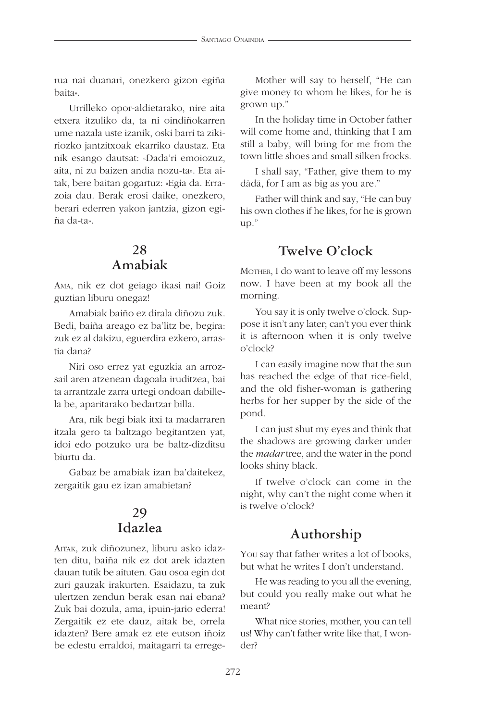rua nai duanari, onezkero gizon egiña baita».

Urrilleko opor-aldietarako, nire aita etxera itzuliko da, ta ni oindiñokarren ume nazala uste izanik, oski barri ta zikiriozko jantzitxoak ekarriko daustaz. Eta nik esango dautsat: «Dada'ri emoiozuz, aita, ni zu baizen andia nozu-ta». Eta aitak, bere baitan gogartuz: «Egia da. Errazoia dau. Berak erosi daike, onezkero, berari ederren yakon jantzia, gizon egiña da-ta».

#### **28 Amabiak**

AMA, nik ez dot geiago ikasi nai! Goiz guztian liburu onegaz!

Amabiak baiño ez dirala diñozu zuk. Bedi, baiña areago ez ba'litz be, begira: zuk ez al dakizu, eguerdira ezkero, arrastia dana?

Niri oso errez yat eguzkia an arrozsail aren atzenean dagoala iruditzea, bai ta arrantzale zarra urtegi ondoan dabillela be, aparitarako bedartzar billa.

Ara, nik begi biak itxi ta madarraren itzala gero ta baltzago begitantzen yat, idoi edo potzuko ura be baltz-dizditsu biurtu da.

Gabaz be amabiak izan ba'daitekez, zergaitik gau ez izan amabietan?

#### **29 Idazlea**

AITAK, zuk diñozunez, liburu asko idazten ditu, baiña nik ez dot arek idazten dauan tutik be aituten. Gau osoa egin dot zuri gauzak irakurten. Esaidazu, ta zuk ulertzen zendun berak esan nai ebana? Zuk bai dozula, ama, ipuin-jario ederra! Zergaitik ez ete dauz, aitak be, orrela idazten? Bere amak ez ete eutson iñoiz be edestu erraldoi, maitagarri ta errege-

Mother will say to herself, "He can give money to whom he likes, for he is grown up."

In the holiday time in October father will come home and, thinking that I am still a baby, will bring for me from the town little shoes and small silken frocks.

I shall say, "Father, give them to my dådå, for I am as big as you are."

Father will think and say, "He can buy his own clothes if he likes, for he is grown up."

#### **Twelve O'clock**

MOTHER, I do want to leave off my lessons now. I have been at my book all the morning.

You say it is only twelve o'clock. Suppose it isn't any later; can't you ever think it is afternoon when it is only twelve o'clock?

I can easily imagine now that the sun has reached the edge of that rice-field, and the old fisher-woman is gathering herbs for her supper by the side of the pond.

I can just shut my eyes and think that the shadows are growing darker under the *madar* tree, and the water in the pond looks shiny black.

If twelve o'clock can come in the night, why can't the night come when it is twelve o'clock?

#### **Authorship**

YOU say that father writes a lot of books, but what he writes I don't understand.

He was reading to you all the evening, but could you really make out what he meant?

What nice stories, mother, you can tell us! Why can't father write like that, I wonder?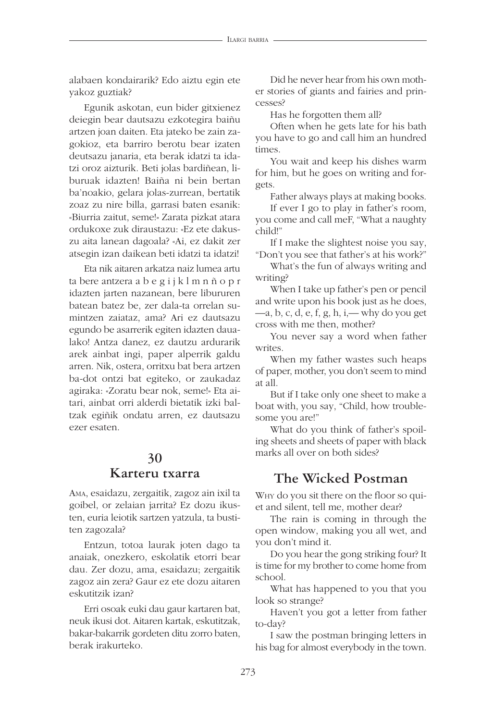alabaen kondairarik? Edo aiztu egin ete yakoz guztiak?

Egunik askotan, eun bider gitxienez deiegin bear dautsazu ezkotegira baiñu artzen joan daiten. Eta jateko be zain zagokioz, eta barriro berotu bear izaten deutsazu janaria, eta berak idatzi ta idatzi oroz aizturik. Beti jolas bardiñean, liburuak idazten! Baiña ni bein bertan ba'noakio, gelara jolas-zurrean, bertatik zoaz zu nire billa, garrasi baten esanik: «Biurria zaitut, seme!» Zarata pizkat atara ordukoxe zuk diraustazu: «Ez ete dakuszu aita lanean dagoala? «Ai, ez dakit zer atsegin izan daikean beti idatzi ta idatzi!

Eta nik aitaren arkatza naiz lumea artu ta bere antzera a b e g i j k l m n ñ o p r idazten jarten nazanean, bere libururen batean batez be, zer dala-ta orrelan sumintzen zaiataz, ama? Ari ez dautsazu egundo be asarrerik egiten idazten daualako! Antza danez, ez dautzu ardurarik arek ainbat ingi, paper alperrik galdu arren. Nik, ostera, orritxu bat bera artzen ba-dot ontzi bat egiteko, or zaukadaz agiraka: «Zoratu bear nok, seme!» Eta aitari, ainbat orri alderdi bietatik izki baltzak egiñik ondatu arren, ez dautsazu ezer esaten.

#### **30**

#### **Karteru txarra**

AMA, esaidazu, zergaitik, zagoz ain ixil ta goibel, or zelaian jarrita? Ez dozu ikusten, euria leiotik sartzen yatzula, ta bustiten zagozala?

Entzun, totoa laurak joten dago ta anaiak, onezkero, eskolatik etorri bear dau. Zer dozu, ama, esaidazu; zergaitik zagoz ain zera? Gaur ez ete dozu aitaren eskutitzik izan?

Erri osoak euki dau gaur kartaren bat, neuk ikusi dot. Aitaren kartak, eskutitzak, bakar-bakarrik gordeten ditu zorro baten, berak irakurteko.

Did he never hear from his own mother stories of giants and fairies and princesses?

Has he forgotten them all?

Often when he gets late for his bath you have to go and call him an hundred times.

You wait and keep his dishes warm for him, but he goes on writing and forgets.

Father always plays at making books.

If ever I go to play in father's room, you come and call meF, "What a naughty child!"

If I make the slightest noise you say, "Don't you see that father's at his work?"

What's the fun of always writing and writing?

When I take up father's pen or pencil and write upon his book just as he does,  $-a, b, c, d, e, f, g, h, i,$ — why do you get cross with me then, mother?

You never say a word when father writes.

When my father wastes such heaps of paper, mother, you don't seem to mind at all.

But if I take only one sheet to make a boat with, you say, "Child, how troublesome you are!"

What do you think of father's spoiling sheets and sheets of paper with black marks all over on both sides?

#### **The Wicked Postman**

WHY do you sit there on the floor so quiet and silent, tell me, mother dear?

The rain is coming in through the open window, making you all wet, and you don't mind it.

Do you hear the gong striking four? It is time for my brother to come home from school.

What has happened to you that you look so strange?

Haven't you got a letter from father to-day?

I saw the postman bringing letters in his bag for almost everybody in the town.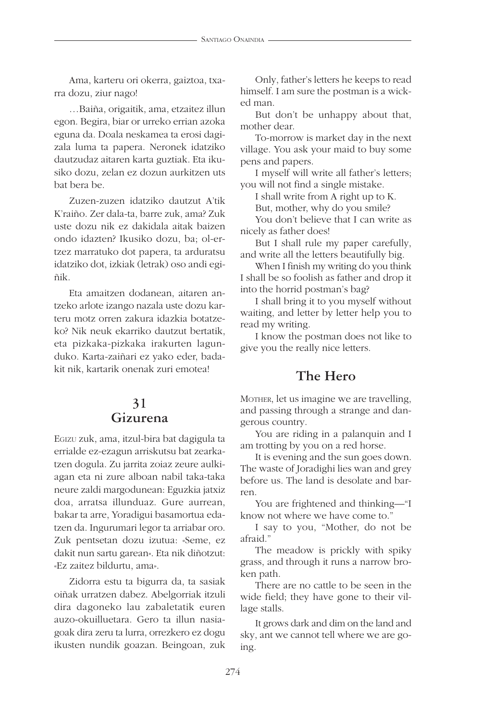Ama, karteru ori okerra, gaiztoa, txarra dozu, ziur nago!

…Baiña, origaitik, ama, etzaitez illun egon. Begira, biar or urreko errian azoka eguna da. Doala neskamea ta erosi dagizala luma ta papera. Neronek idatziko dautzudaz aitaren karta guztiak. Eta ikusiko dozu, zelan ez dozun aurkitzen uts bat bera be.

Zuzen-zuzen idatziko dautzut A'tik K'raiño. Zer dala-ta, barre zuk, ama? Zuk uste dozu nik ez dakidala aitak baizen ondo idazten? Ikusiko dozu, ba; ol-ertzez marratuko dot papera, ta arduratsu idatziko dot, izkiak (letrak) oso andi egiñik.

Eta amaitzen dodanean, aitaren antzeko arlote izango nazala uste dozu karteru motz orren zakura idazkia botatzeko? Nik neuk ekarriko dautzut bertatik, eta pizkaka-pizkaka irakurten lagunduko. Karta-zaiñari ez yako eder, badakit nik, kartarik onenak zuri emotea!

#### **31 Gizurena**

EGIZU zuk, ama, itzul-bira bat dagigula ta errialde ez-ezagun arriskutsu bat zearkatzen dogula. Zu jarrita zoiaz zeure aulkiagan eta ni zure alboan nabil taka-taka neure zaldi margodunean: Eguzkia jatxiz doa, arratsa illunduaz. Gure aurrean, bakar ta arre, Yoradigui basamortua edatzen da. Ingurumari legor ta arriabar oro. Zuk pentsetan dozu izutua: «Seme, ez dakit nun sartu garean». Eta nik diñotzut: «Ez zaitez bildurtu, ama».

Zidorra estu ta bigurra da, ta sasiak oiñak urratzen dabez. Abelgorriak itzuli dira dagoneko lau zabaletatik euren auzo-okuilluetara. Gero ta illun nasiagoak dira zeru ta lurra, orrezkero ez dogu ikusten nundik goazan. Beingoan, zuk

Only, father's letters he keeps to read himself. I am sure the postman is a wicked man.

But don't be unhappy about that, mother dear.

To-morrow is market day in the next village. You ask your maid to buy some pens and papers.

I myself will write all father's letters; you will not find a single mistake.

I shall write from A right up to K.

But, mother, why do you smile?

You don't believe that I can write as nicely as father does!

But I shall rule my paper carefully, and write all the letters beautifully big.

When I finish my writing do you think I shall be so foolish as father and drop it into the horrid postman's bag?

I shall bring it to you myself without waiting, and letter by letter help you to read my writing.

I know the postman does not like to give you the really nice letters.

#### **The Hero**

MOTHER, let us imagine we are travelling, and passing through a strange and dangerous country.

You are riding in a palanquin and I am trotting by you on a red horse.

It is evening and the sun goes down. The waste of Joradighi lies wan and grey before us. The land is desolate and barren.

You are frightened and thinking—"I know not where we have come to."

I say to you, "Mother, do not be afraid."

The meadow is prickly with spiky grass, and through it runs a narrow broken path.

There are no cattle to be seen in the wide field; they have gone to their village stalls.

It grows dark and dim on the land and sky, ant we cannot tell where we are going.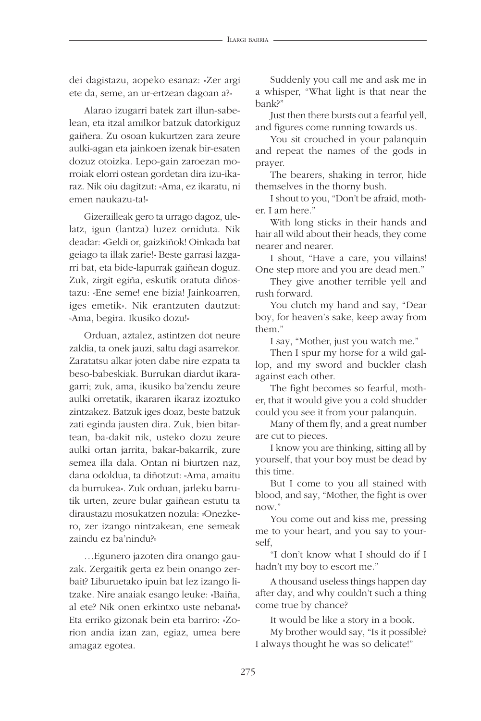dei dagistazu, aopeko esanaz: «Zer argi ete da, seme, an ur-ertzean dagoan a?»

Alarao izugarri batek zart illun-sabelean, eta itzal amilkor batzuk datorkiguz gaiñera. Zu osoan kukurtzen zara zeure aulki-agan eta jainkoen izenak bir-esaten dozuz otoizka. Lepo-gain zaroezan morroiak elorri ostean gordetan dira izu-ikaraz. Nik oiu dagitzut: «Ama, ez ikaratu, ni emen naukazu-ta!»

Gizerailleak gero ta urrago dagoz, ulelatz, igun (lantza) luzez orniduta. Nik deadar: «Geldi or, gaizkiñok! Oinkada bat geiago ta illak zarie!» Beste garrasi lazgarri bat, eta bide-lapurrak gaiñean doguz. Zuk, zirgit egiña, eskutik oratuta diñostazu: «Ene seme! ene bizia! Jainkoarren, iges emetik». Nik erantzuten dautzut: «Ama, begira. Ikusiko dozu!»

Orduan, aztalez, astintzen dot neure zaldia, ta onek jauzi, saltu dagi asarrekor. Zaratatsu alkar joten dabe nire ezpata ta beso-babeskiak. Burrukan diardut ikaragarri; zuk, ama, ikusiko ba'zendu zeure aulki orretatik, ikararen ikaraz izoztuko zintzakez. Batzuk iges doaz, beste batzuk zati eginda jausten dira. Zuk, bien bitartean, ba-dakit nik, usteko dozu zeure aulki ortan jarrita, bakar-bakarrik, zure semea illa dala. Ontan ni biurtzen naz, dana odoldua, ta diñotzut: «Ama, amaitu da burrukea». Zuk orduan, jarleku barrutik urten, zeure bular gaiñean estutu ta diraustazu mosukatzen nozula: «Onezkero, zer izango nintzakean, ene semeak zaindu ez ba'nindu?»

…Egunero jazoten dira onango gauzak. Zergaitik gerta ez bein onango zerbait? Liburuetako ipuin bat lez izango litzake. Nire anaiak esango leuke: «Baiña, al ete? Nik onen erkintxo uste nebana!» Eta erriko gizonak bein eta barriro: «Zorion andia izan zan, egiaz, umea bere amagaz egotea.

Suddenly you call me and ask me in a whisper, "What light is that near the bank?"

Just then there bursts out a fearful yell, and figures come running towards us.

You sit crouched in your palanquin and repeat the names of the gods in prayer.

The bearers, shaking in terror, hide themselves in the thorny bush.

I shout to you, "Don't be afraid, mother. I am here."

With long sticks in their hands and hair all wild about their heads, they come nearer and nearer.

I shout, "Have a care, you villains! One step more and you are dead men."

They give another terrible yell and rush forward.

You clutch my hand and say, "Dear boy, for heaven's sake, keep away from them."

I say, "Mother, just you watch me."

Then I spur my horse for a wild gallop, and my sword and buckler clash against each other.

The fight becomes so fearful, mother, that it would give you a cold shudder could you see it from your palanquin.

Many of them fly, and a great number are cut to pieces.

I know you are thinking, sitting all by yourself, that your boy must be dead by this time.

But I come to you all stained with blood, and say, "Mother, the fight is over now."

You come out and kiss me, pressing me to your heart, and you say to yourself,

"I don't know what I should do if I hadn't my boy to escort me."

A thousand useless things happen day after day, and why couldn't such a thing come true by chance?

It would be like a story in a book.

My brother would say, "Is it possible? I always thought he was so delicate!"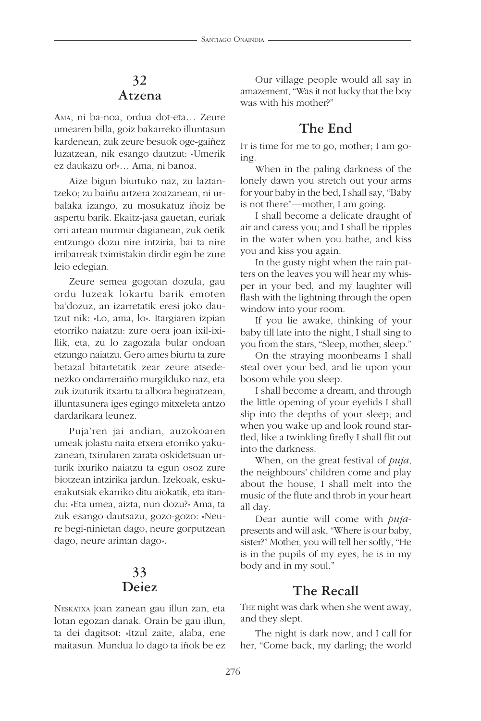#### **32 Atzena**

AMA, ni ba-noa, ordua dot-eta… Zeure umearen billa, goiz bakarreko illuntasun kardenean, zuk zeure besuok oge-gaiñez luzatzean, nik esango dautzut: «Umerik ez daukazu or!»… Ama, ni banoa.

Aize bigun biurtuko naz, zu laztantzeko; zu baiñu artzera zoazanean, ni urbalaka izango, zu mosukatuz iñoiz be aspertu barik. Ekaitz-jasa gauetan, euriak orri artean murmur dagianean, zuk oetik entzungo dozu nire intziria, bai ta nire irribarreak tximistakin dirdir egin be zure leio edegian.

Zeure semea gogotan dozula, gau ordu luzeak lokartu barik emoten ba'dozuz, an izarretatik eresi joko dautzut nik: «Lo, ama, lo». Itargiaren izpian etorriko naiatzu: zure oera joan ixil-ixillik, eta, zu lo zagozala bular ondoan etzungo naiatzu. Gero ames biurtu ta zure betazal bitartetatik zear zeure atsedenezko ondarreraiño murgilduko naz, eta zuk izuturik itxartu ta albora begiratzean, illuntasunera iges egingo mitxeleta antzo dardarikara leunez.

Puja'ren jai andian, auzokoaren umeak jolastu naita etxera etorriko yakuzanean, txirularen zarata oskidetsuan urturik ixuriko naiatzu ta egun osoz zure biotzean intzirika jardun. Izekoak, eskuerakutsiak ekarriko ditu aiokatik, eta itandu: «Eta umea, aizta, nun dozu?» Ama, ta zuk esango dautsazu, gozo-gozo: «Neure begi-ninietan dago, neure gorputzean dago, neure ariman dago».

# **33 Deiez**

NESKATXA joan zanean gau illun zan, eta lotan egozan danak. Orain be gau illun, ta dei dagitsot: «Itzul zaite, alaba, ene maitasun. Mundua lo dago ta iñok be ez

Our village people would all say in amazement, "Was it not lucky that the boy was with his mother?"

#### **The End**

IT is time for me to go, mother; I am going.

When in the paling darkness of the lonely dawn you stretch out your arms for your baby in the bed, I shall say, "Baby is not there"—mother, I am going.

I shall become a delicate draught of air and caress you; and I shall be ripples in the water when you bathe, and kiss you and kiss you again.

In the gusty night when the rain patters on the leaves you will hear my whisper in your bed, and my laughter will flash with the lightning through the open window into your room.

If you lie awake, thinking of your baby till late into the night, I shall sing to you from the stars, "Sleep, mother, sleep."

On the straying moonbeams I shall steal over your bed, and lie upon your bosom while you sleep.

I shall become a dream, and through the little opening of your eyelids I shall slip into the depths of your sleep; and when you wake up and look round startled, like a twinkling firefly I shall flit out into the darkness.

When, on the great festival of *puja*, the neighbours' children come and play about the house, I shall melt into the music of the flute and throb in your heart all day.

Dear auntie will come with *puja*presents and will ask, "Where is our baby, sister?" Mother, you will tell her softly, "He is in the pupils of my eyes, he is in my body and in my soul."

#### **The Recall**

THE night was dark when she went away, and they slept.

The night is dark now, and I call for her, "Come back, my darling; the world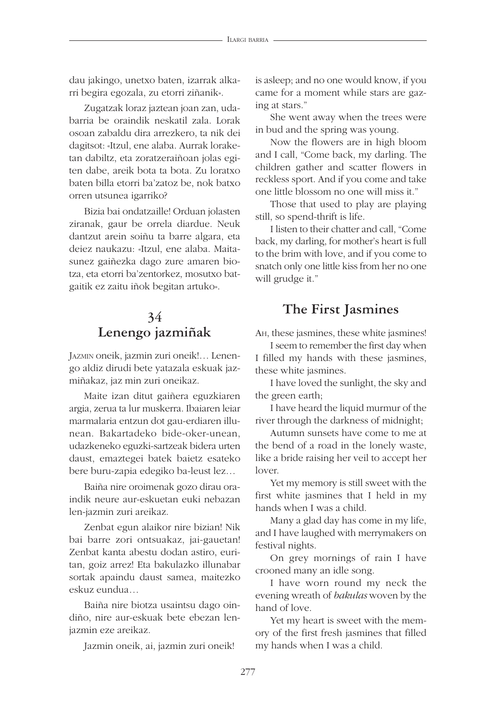dau jakingo, unetxo baten, izarrak alkarri begira egozala, zu etorri ziñanik».

Zugatzak loraz jaztean joan zan, udabarria be oraindik neskatil zala. Lorak osoan zabaldu dira arrezkero, ta nik dei dagitsot: «Itzul, ene alaba. Aurrak loraketan dabiltz, eta zoratzeraiñoan jolas egiten dabe, areik bota ta bota. Zu loratxo baten billa etorri ba'zatoz be, nok batxo orren utsunea igarriko?

Bizia bai ondatzaille! Orduan jolasten ziranak, gaur be orrela diardue. Neuk dantzut arein soiñu ta barre algara, eta deiez naukazu: «Itzul, ene alaba. Maitasunez gaiñezka dago zure amaren biotza, eta etorri ba'zentorkez, mosutxo batgaitik ez zaitu iñok begitan artuko».

# **34 Lenengo jazmiñak**

JAZMIN oneik, jazmin zuri oneik!… Lenengo aldiz dirudi bete yatazala eskuak jazmiñakaz, jaz min zuri oneikaz.

Maite izan ditut gaiñera eguzkiaren argia, zerua ta lur muskerra. Ibaiaren leiar marmalaria entzun dot gau-erdiaren illunean. Bakartadeko bide-oker-unean, udazkeneko eguzki-sartzeak bidera urten daust, emaztegei batek baietz esateko bere buru-zapia edegiko ba-leust lez…

Baiña nire oroimenak gozo dirau oraindik neure aur-eskuetan euki nebazan len-jazmin zuri areikaz.

Zenbat egun alaikor nire bizian! Nik bai barre zori ontsuakaz, jai-gauetan! Zenbat kanta abestu dodan astiro, euritan, goiz arrez! Eta bakulazko illunabar sortak apaindu daust samea, maitezko eskuz eundua…

Baiña nire biotza usaintsu dago oindiño, nire aur-eskuak bete ebezan lenjazmin eze areikaz.

Jazmin oneik, ai, jazmin zuri oneik!

is asleep; and no one would know, if you came for a moment while stars are gazing at stars."

She went away when the trees were in bud and the spring was young.

Now the flowers are in high bloom and I call, "Come back, my darling. The children gather and scatter flowers in reckless sport. And if you come and take one little blossom no one will miss it."

Those that used to play are playing still, so spend-thrift is life.

I listen to their chatter and call, "Come back, my darling, for mother's heart is full to the brim with love, and if you come to snatch only one little kiss from her no one will grudge it."

#### **The First Jasmines**

AH, these jasmines, these white jasmines!

I seem to remember the first day when I filled my hands with these jasmines, these white jasmines.

I have loved the sunlight, the sky and the green earth;

I have heard the liquid murmur of the river through the darkness of midnight;

Autumn sunsets have come to me at the bend of a road in the lonely waste, like a bride raising her veil to accept her lover.

Yet my memory is still sweet with the first white jasmines that I held in my hands when I was a child.

Many a glad day has come in my life, and I have laughed with merrymakers on festival nights.

On grey mornings of rain I have crooned many an idle song.

I have worn round my neck the evening wreath of *bakulas* woven by the hand of love.

Yet my heart is sweet with the memory of the first fresh jasmines that filled my hands when I was a child.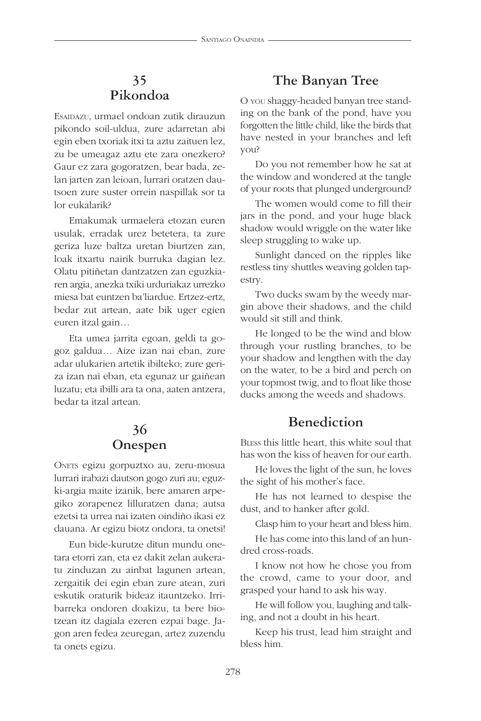# **35 Pikondoa**

ESAIDAZU, urmael ondoan zutik dirauzun pikondo soil-uldua, zure adarretan abi egin eben txoriak itxi ta aztu zaituen lez, zu be umeagaz aztu ete zara onezkero? Gaur ez zara gogoratzen, bear bada, zelan jarten zan leioan, lurrari oratzen dautsoen zure suster orrein naspillak sor ta lor eukalarik?

Emakumak urmaelera etozan euren usulak, erradak urez betetera, ta zure geriza luze baltza uretan biurtzen zan, loak itxartu nairik burruka dagian lez. Olatu pitiñetan dantzatzen zan eguzkiaren argia, anezka txiki urduriakaz urrezko miesa bat euntzen ba'liardue. Ertzez-ertz, bedar zut artean, aate bik uger egien euren itzal gain…

Eta umea jarrita egoan, geldi ta gogoz galdua… Aize izan nai eban, zure adar ulukarien artetik ibilteko; zure geriza izan nai eban, eta egunaz ur gaiñean luzatu; eta ibilli ara ta ona, aaten antzera, bedar ta itzal artean.

# **36 Onespen**

ONETS egizu gorpuztxo au, zeru-mosua lurrari irabazi dautson gogo zuri au; eguzki-argia maite izanik, bere amaren arpegiko zorapenez lilluratzen dana; autsa ezetsi ta urrea nai izaten oindiño ikasi ez dauana. Ar egizu biotz ondora, ta onetsi!

Eun bide-kurutze ditun mundu onetara etorri zan, eta ez dakit zelan aukeratu zinduzan zu ainbat lagunen artean, zergaitik dei egin eban zure atean, zuri eskutik oraturik bideaz itauntzeko. Irribarreka ondoren doakizu, ta bere biotzean itz dagiala ezeren ezpai bage. Jagon aren fedea zeuregan, artez zuzendu ta onets egizu.

#### **The Banyan Tree**

O YOU shaggy-headed banyan tree standing on the bank of the pond, have you forgotten the little child, like the birds that have nested in your branches and left you?

Do you not remember how he sat at the window and wondered at the tangle of your roots that plunged underground?

The women would come to fill their jars in the pond, and your huge black shadow would wriggle on the water like sleep struggling to wake up.

Sunlight danced on the ripples like restless tiny shuttles weaving golden tapestry.

Two ducks swam by the weedy margin above their shadows, and the child would sit still and think.

He longed to be the wind and blow through your rustling branches, to be your shadow and lengthen with the day on the water, to be a bird and perch on your topmost twig, and to float like those ducks among the weeds and shadows.

#### **Benediction**

BLESS this little heart, this white soul that has won the kiss of heaven for our earth.

He loves the light of the sun, he loves the sight of his mother's face.

He has not learned to despise the dust, and to hanker after gold.

Clasp him to your heart and bless him.

He has come into this land of an hundred cross-roads.

I know not how he chose you from the crowd, came to your door, and grasped your hand to ask his way.

He will follow you, laughing and talking, and not a doubt in his heart.

Keep his trust, lead him straight and bless him.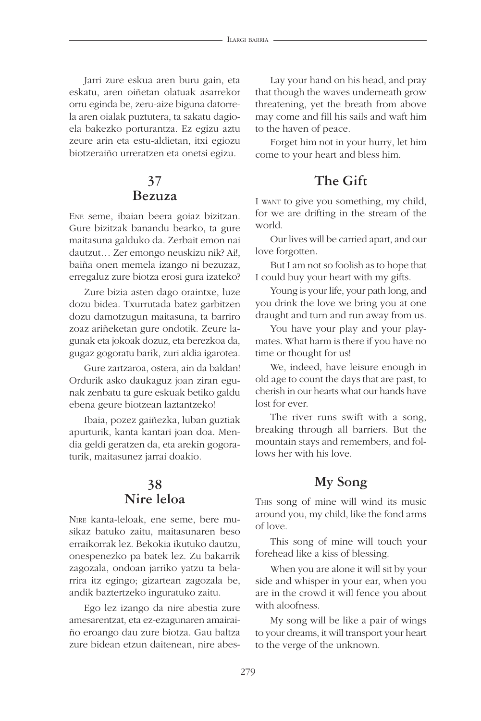Jarri zure eskua aren buru gain, eta eskatu, aren oiñetan olatuak asarrekor orru eginda be, zeru-aize biguna datorrela aren oialak puztutera, ta sakatu dagioela bakezko porturantza. Ez egizu aztu zeure arin eta estu-aldietan, itxi egiozu biotzeraiño urreratzen eta onetsi egizu.

#### **37 Bezuza**

ENE seme, ibaian beera goiaz bizitzan. Gure bizitzak banandu bearko, ta gure maitasuna galduko da. Zerbait emon nai dautzut… Zer emongo neuskizu nik? Ai!, baiña onen memela izango ni bezuzaz, erregaluz zure biotza erosi gura izateko?

Zure bizia asten dago oraintxe, luze dozu bidea. Txurrutada batez garbitzen dozu damotzugun maitasuna, ta barriro zoaz ariñeketan gure ondotik. Zeure lagunak eta jokoak dozuz, eta berezkoa da, gugaz gogoratu barik, zuri aldia igarotea.

Gure zartzaroa, ostera, ain da baldan! Ordurik asko daukaguz joan ziran egunak zenbatu ta gure eskuak betiko galdu ebena geure biotzean laztantzeko!

Ibaia, pozez gaiñezka, luban guztiak apurturik, kanta kantari joan doa. Mendia geldi geratzen da, eta arekin gogoraturik, maitasunez jarrai doakio.

#### **38 Nire leloa**

NIRE kanta-leloak, ene seme, bere musikaz batuko zaitu, maitasunaren beso erraikorrak lez. Bekokia ikutuko dautzu, onespenezko pa batek lez. Zu bakarrik zagozala, ondoan jarriko yatzu ta belarrira itz egingo; gizartean zagozala be, andik baztertzeko inguratuko zaitu.

Ego lez izango da nire abestia zure amesarentzat, eta ez-ezagunaren amairaiño eroango dau zure biotza. Gau baltza zure bidean etzun daitenean, nire abes-

Lay your hand on his head, and pray that though the waves underneath grow threatening, yet the breath from above may come and fill his sails and waft him to the haven of peace.

Forget him not in your hurry, let him come to your heart and bless him.

# **The Gift**

I WANT to give you something, my child, for we are drifting in the stream of the world.

Our lives will be carried apart, and our love forgotten.

But I am not so foolish as to hope that I could buy your heart with my gifts.

Young is your life, your path long, and you drink the love we bring you at one draught and turn and run away from us.

You have your play and your playmates. What harm is there if you have no time or thought for us!

We, indeed, have leisure enough in old age to count the days that are past, to cherish in our hearts what our hands have lost for ever.

The river runs swift with a song, breaking through all barriers. But the mountain stays and remembers, and follows her with his love.

#### **My Song**

THIS song of mine will wind its music around you, my child, like the fond arms of love.

This song of mine will touch your forehead like a kiss of blessing.

When you are alone it will sit by your side and whisper in your ear, when you are in the crowd it will fence you about with aloofness.

My song will be like a pair of wings to your dreams, it will transport your heart to the verge of the unknown.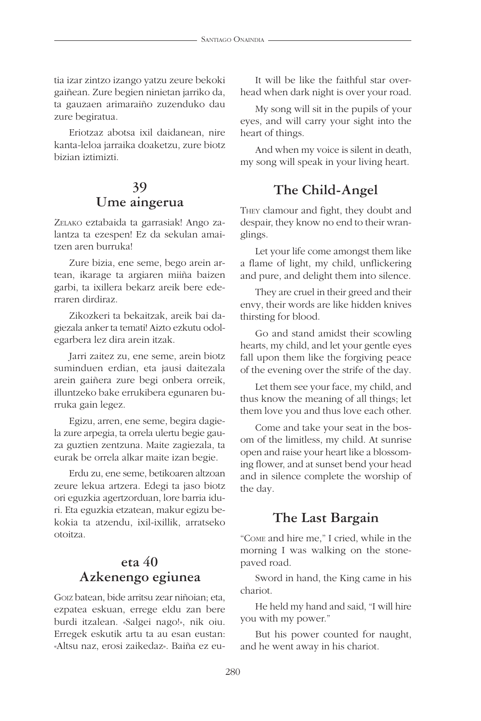tia izar zintzo izango yatzu zeure bekoki gaiñean. Zure begien ninietan jarriko da, ta gauzaen arimaraiño zuzenduko dau zure begiratua.

Eriotzaz abotsa ixil daidanean, nire kanta-leloa jarraika doaketzu, zure biotz bizian iztimizti.

#### **39 Ume aingerua**

ZELAKO eztabaida ta garrasiak! Ango zalantza ta ezespen! Ez da sekulan amaitzen aren burruka!

Zure bizia, ene seme, bego arein artean, ikarage ta argiaren miiña baizen garbi, ta ixillera bekarz areik bere ederraren dirdiraz.

Zikozkeri ta bekaitzak, areik bai dagiezala anker ta temati! Aizto ezkutu odolegarbera lez dira arein itzak.

Jarri zaitez zu, ene seme, arein biotz suminduen erdian, eta jausi daitezala arein gaiñera zure begi onbera orreik, illuntzeko bake errukibera egunaren burruka gain legez.

Egizu, arren, ene seme, begira dagiela zure arpegia, ta orrela ulertu begie gauza guztien zentzuna. Maite zagiezala, ta eurak be orrela alkar maite izan begie.

Erdu zu, ene seme, betikoaren altzoan zeure lekua artzera. Edegi ta jaso biotz ori eguzkia agertzorduan, lore barria iduri. Eta eguzkia etzatean, makur egizu bekokia ta atzendu, ixil-ixillik, arratseko otoitza.

#### **eta 40 Azkenengo egiunea**

GOIZ batean, bide arritsu zear niñoian; eta, ezpatea eskuan, errege eldu zan bere burdi itzalean. «Salgei nago!», nik oiu. Erregek eskutik artu ta au esan eustan: «Altsu naz, erosi zaikedaz». Baiña ez eu-

It will be like the faithful star overhead when dark night is over your road.

My song will sit in the pupils of your eyes, and will carry your sight into the heart of things.

And when my voice is silent in death, my song will speak in your living heart.

# **The Child-Angel**

THEY clamour and fight, they doubt and despair, they know no end to their wranglings.

Let your life come amongst them like a flame of light, my child, unflickering and pure, and delight them into silence.

They are cruel in their greed and their envy, their words are like hidden knives thirsting for blood.

Go and stand amidst their scowling hearts, my child, and let your gentle eyes fall upon them like the forgiving peace of the evening over the strife of the day.

Let them see your face, my child, and thus know the meaning of all things; let them love you and thus love each other.

Come and take your seat in the bosom of the limitless, my child. At sunrise open and raise your heart like a blossoming flower, and at sunset bend your head and in silence complete the worship of the day.

#### **The Last Bargain**

"COME and hire me," I cried, while in the morning I was walking on the stonepaved road.

Sword in hand, the King came in his chariot.

He held my hand and said, "I will hire you with my power."

But his power counted for naught, and he went away in his chariot.